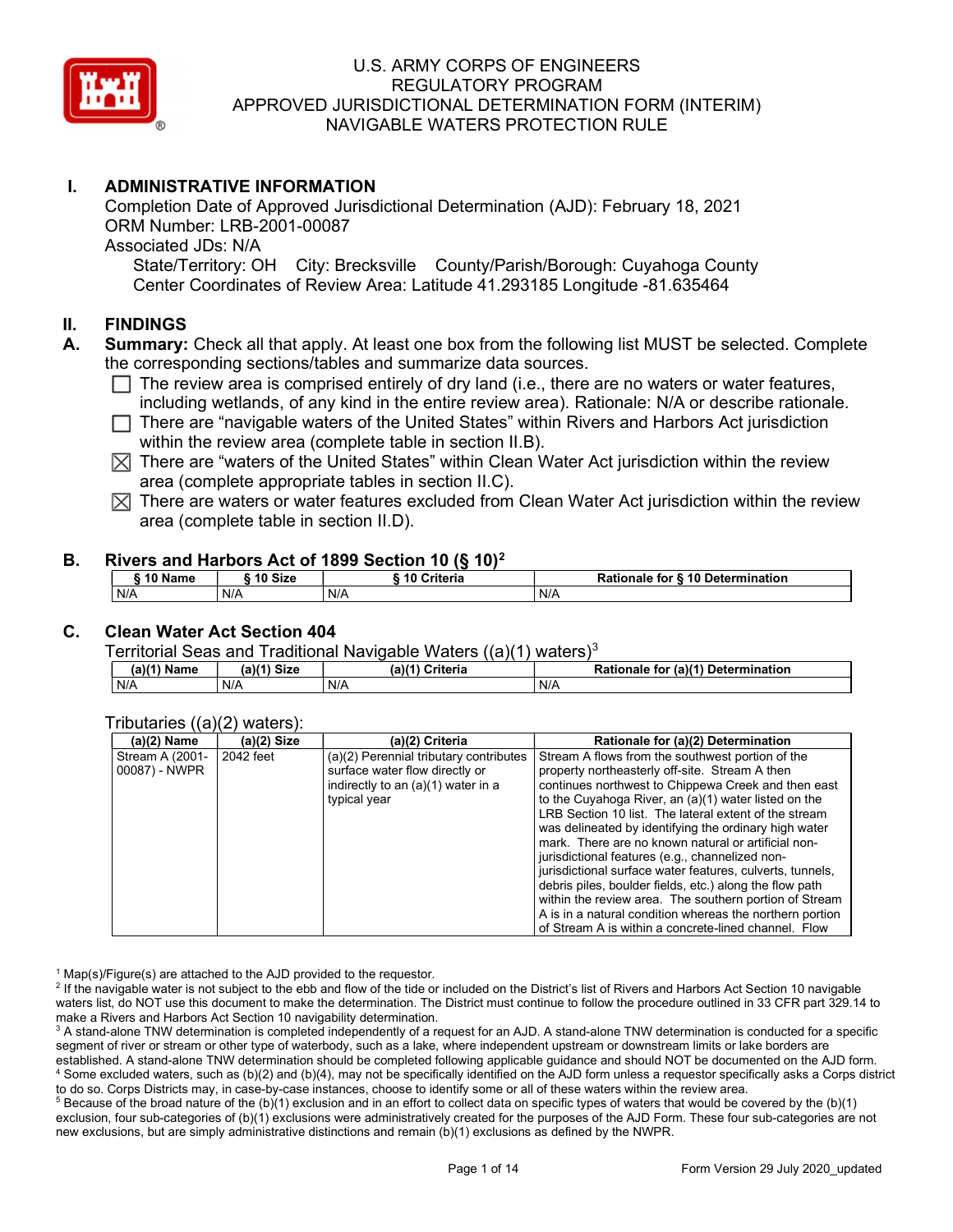

# I. ADMINISTRATIVE INFORMATION

Completion Date of Approved Jurisdictional Determination (AJD): February 18, 2021 ORM Number: LRB-2001-00087 Associated JDs: N/A State/Territory: OH City: Brecksville County/Parish/Borough: Cuyahoga County

Center Coordinates of Review Area: Latitude 41.293185 Longitude -81.635464

## II. FINDINGS

- A. Summary: Check all that apply. At least one box from the following list MUST be selected. Complete the corresponding sections/tables and summarize data sources.
	- $\Box$  The review area is comprised entirely of dry land (i.e., there are no waters or water features, including wetlands, of any kind in the entire review area). Rationale: N/A or describe rationale.
	- $\Box$  There are "navigable waters of the United States" within Rivers and Harbors Act jurisdiction within the review area (complete table in section II.B).
	- $\boxtimes$  There are "waters of the United States" within Clean Water Act jurisdiction within the review area (complete appropriate tables in section II.C).
	- $\boxtimes$  There are waters or water features excluded from Clean Water Act jurisdiction within the review area (complete table in section II.D).

#### B. Rivers and Harbors Act of 1899 Section 10 (§ 10)<sup>2</sup>

| ຳ^ Name | 10 Size | .<br>10 Criteria | for § 10 Determination (<br>Rationale |
|---------|---------|------------------|---------------------------------------|
| N/A     | N/A     | N/A              | N/A                                   |

#### C. Clean Water Act Section 404

Territorial Seas and Traditional Navigable Waters  $((a)(1)$  waters)<sup>3</sup>

| $(a)(1)$ Name | (a)(1) Size | $(a)$ $(4)$<br>Criteria | (a)(1) Determination<br>Rationale<br>for |
|---------------|-------------|-------------------------|------------------------------------------|
| N/A           | N/A         | N/A                     | N/A                                      |

#### Tributaries ((a)(2) waters):

| $(a)(2)$ Name   | $(a)(2)$ Size | (a)(2) Criteria                        | Rationale for (a)(2) Determination                        |
|-----------------|---------------|----------------------------------------|-----------------------------------------------------------|
| Stream A (2001- | 2042 feet     | (a)(2) Perennial tributary contributes | Stream A flows from the southwest portion of the          |
| 00087) - NWPR   |               | surface water flow directly or         | property northeasterly off-site. Stream A then            |
|                 |               | indirectly to an (a)(1) water in a     | continues northwest to Chippewa Creek and then east       |
|                 |               | typical year                           | to the Cuyahoga River, an (a)(1) water listed on the      |
|                 |               |                                        | LRB Section 10 list. The lateral extent of the stream     |
|                 |               |                                        | was delineated by identifying the ordinary high water     |
|                 |               |                                        | mark. There are no known natural or artificial non-       |
|                 |               |                                        | jurisdictional features (e.g., channelized non-           |
|                 |               |                                        | jurisdictional surface water features, culverts, tunnels, |
|                 |               |                                        | debris piles, boulder fields, etc.) along the flow path   |
|                 |               |                                        | within the review area. The southern portion of Stream    |
|                 |               |                                        | A is in a natural condition whereas the northern portion  |
|                 |               |                                        | of Stream A is within a concrete-lined channel. Flow      |

<sup>1</sup> Map(s)/Figure(s) are attached to the AJD provided to the requestor.

<sup>2</sup> If the navigable water is not subject to the ebb and flow of the tide or included on the District's list of Rivers and Harbors Act Section 10 navigable waters list, do NOT use this document to make the determination. The District must continue to follow the procedure outlined in 33 CFR part 329.14 to make a Rivers and Harbors Act Section 10 navigability determination.

 $^3$  A stand-alone TNW determination is completed independently of a request for an AJD. A stand-alone TNW determination is conducted for a specific segment of river or stream or other type of waterbody, such as a lake, where independent upstream or downstream limits or lake borders are established. A stand-alone TNW determination should be completed following applicable guidance and should NOT be documented on the AJD form. 4 Some excluded waters, such as (b)(2) and (b)(4), may not be specifically identified on the AJD form unless a requestor specifically asks a Corps district to do so. Corps Districts may, in case-by-case instances, choose to identify some or all of these waters within the review area.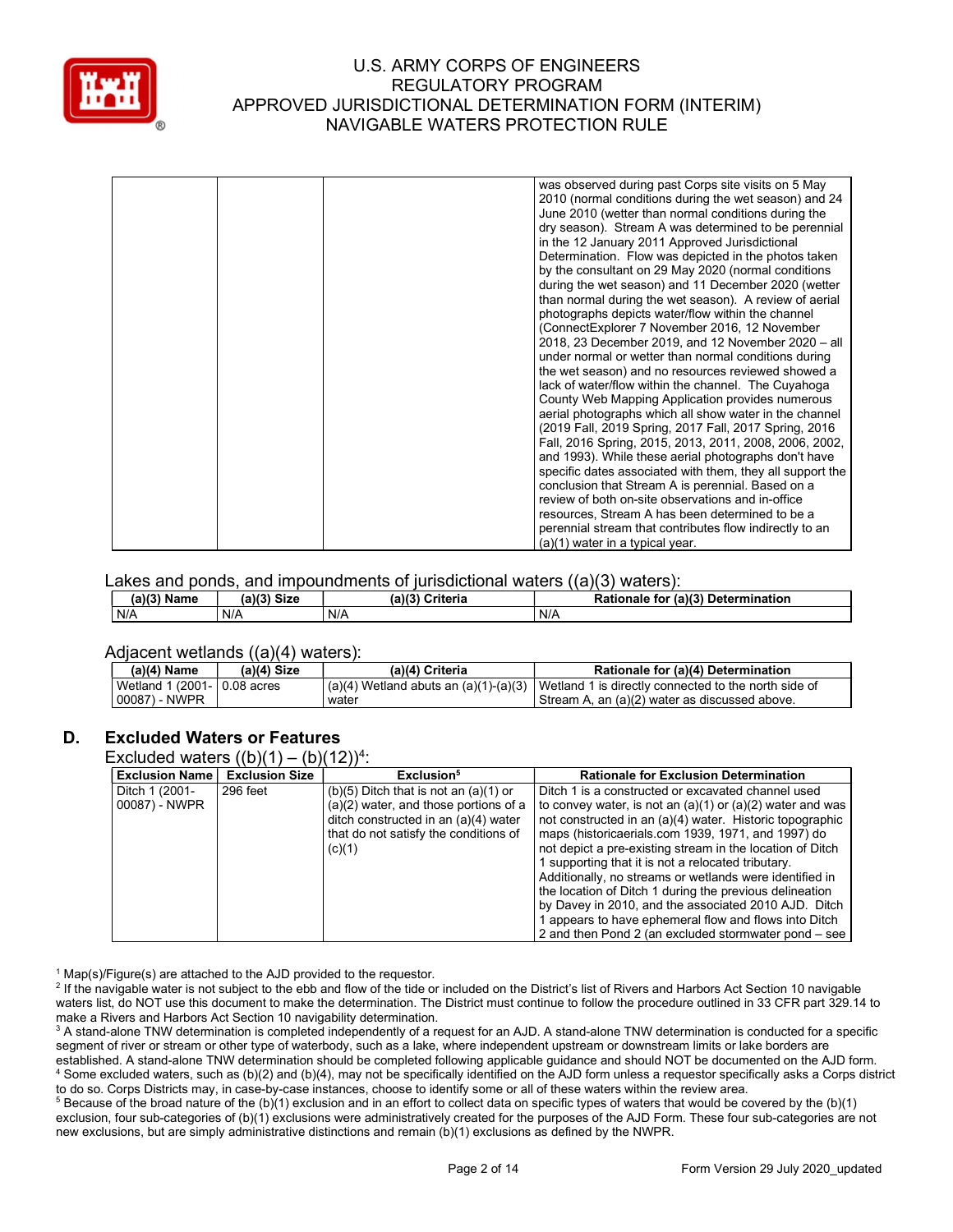

|  | was observed during past Corps site visits on 5 May       |
|--|-----------------------------------------------------------|
|  | 2010 (normal conditions during the wet season) and 24     |
|  | June 2010 (wetter than normal conditions during the       |
|  | dry season). Stream A was determined to be perennial      |
|  | in the 12 January 2011 Approved Jurisdictional            |
|  | Determination. Flow was depicted in the photos taken      |
|  | by the consultant on 29 May 2020 (normal conditions       |
|  | during the wet season) and 11 December 2020 (wetter       |
|  |                                                           |
|  | than normal during the wet season). A review of aerial    |
|  | photographs depicts water/flow within the channel         |
|  | (ConnectExplorer 7 November 2016, 12 November             |
|  | 2018, 23 December 2019, and 12 November 2020 - all        |
|  | under normal or wetter than normal conditions during      |
|  | the wet season) and no resources reviewed showed a        |
|  | lack of water/flow within the channel. The Cuyahoga       |
|  | County Web Mapping Application provides numerous          |
|  | aerial photographs which all show water in the channel    |
|  | (2019 Fall, 2019 Spring, 2017 Fall, 2017 Spring, 2016)    |
|  | Fall, 2016 Spring, 2015, 2013, 2011, 2008, 2006, 2002,    |
|  | and 1993). While these aerial photographs don't have      |
|  | specific dates associated with them, they all support the |
|  | conclusion that Stream A is perennial. Based on a         |
|  | review of both on-site observations and in-office         |
|  | resources, Stream A has been determined to be a           |
|  | perennial stream that contributes flow indirectly to an   |
|  | $(a)(1)$ water in a typical year.                         |
|  |                                                           |

#### Lakes and ponds, and impoundments of jurisdictional waters  $((a)(3)$  waters):

| (a)(3) Name | (a)(3)<br><b>Size</b> | (a)(3)<br>Criteria | (a)(3) Determination<br>Rationale<br>for |
|-------------|-----------------------|--------------------|------------------------------------------|
| N/A         | N/A                   | N/A                | N/A                                      |

#### Adjacent wetlands ((a)(4) waters):

| $(a)(4)$ Name | (a)(4) Size             | (a)(4) Criteria | Rationale for (a)(4) Determination                                                                                      |
|---------------|-------------------------|-----------------|-------------------------------------------------------------------------------------------------------------------------|
| Wetland       | 1 1 (2001- I 0.08 acres |                 | $\binom{1}{a}(4)$ Wetland abuts an $\binom{a}{1} - \binom{a}{3}$   Wetland 1 is directly connected to the north side of |
| 00087) - NWPR |                         | water           | Stream A, an (a)(2) water as discussed above.                                                                           |

#### D. Excluded Waters or Features

Excluded waters  $((b)(1) - (b)(12))^4$ :

| <b>Exclusion Name</b>           | <b>Exclusion Size</b> | Exclusion <sup>5</sup>                                                                                                                                                          | <b>Rationale for Exclusion Determination</b>                                                                                                                                                                                                                                                                                                                                                                                                                                                                                                                                                    |
|---------------------------------|-----------------------|---------------------------------------------------------------------------------------------------------------------------------------------------------------------------------|-------------------------------------------------------------------------------------------------------------------------------------------------------------------------------------------------------------------------------------------------------------------------------------------------------------------------------------------------------------------------------------------------------------------------------------------------------------------------------------------------------------------------------------------------------------------------------------------------|
| Ditch 1 (2001-<br>00087) - NWPR | 296 feet              | $(b)(5)$ Ditch that is not an $(a)(1)$ or<br>$(a)(2)$ water, and those portions of a<br>ditch constructed in an (a)(4) water<br>that do not satisfy the conditions of<br>(c)(1) | Ditch 1 is a constructed or excavated channel used<br>to convey water, is not an $(a)(1)$ or $(a)(2)$ water and was<br>not constructed in an (a)(4) water. Historic topographic<br>maps (historicaerials.com 1939, 1971, and 1997) do<br>not depict a pre-existing stream in the location of Ditch<br>1 supporting that it is not a relocated tributary.<br>Additionally, no streams or wetlands were identified in<br>the location of Ditch 1 during the previous delineation<br>by Davey in 2010, and the associated 2010 AJD. Ditch<br>l appears to have ephemeral flow and flows into Ditch |
|                                 |                       |                                                                                                                                                                                 | 2 and then Pond 2 (an excluded stormwater pond – see                                                                                                                                                                                                                                                                                                                                                                                                                                                                                                                                            |

<sup>1</sup> Map(s)/Figure(s) are attached to the AJD provided to the requestor.

<sup>2</sup> If the navigable water is not subject to the ebb and flow of the tide or included on the District's list of Rivers and Harbors Act Section 10 navigable waters list, do NOT use this document to make the determination. The District must continue to follow the procedure outlined in 33 CFR part 329.14 to make a Rivers and Harbors Act Section 10 navigability determination.

 $^3$  A stand-alone TNW determination is completed independently of a request for an AJD. A stand-alone TNW determination is conducted for a specific segment of river or stream or other type of waterbody, such as a lake, where independent upstream or downstream limits or lake borders are established. A stand-alone TNW determination should be completed following applicable guidance and should NOT be documented on the AJD form. 4 Some excluded waters, such as (b)(2) and (b)(4), may not be specifically identified on the AJD form unless a requestor specifically asks a Corps district to do so. Corps Districts may, in case-by-case instances, choose to identify some or all of these waters within the review area.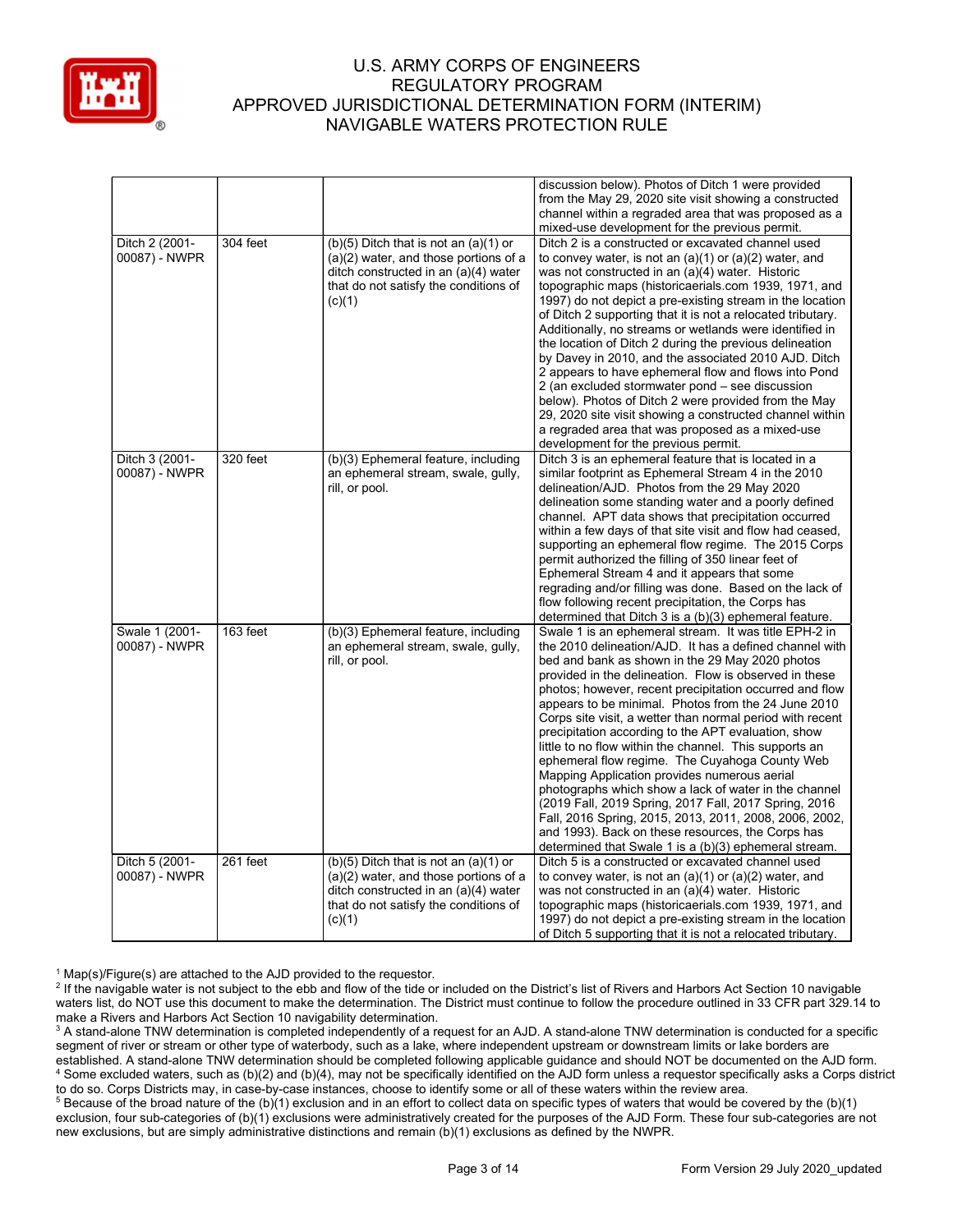

|                                 |          |                                                                                                                                                                                 | discussion below). Photos of Ditch 1 were provided<br>from the May 29, 2020 site visit showing a constructed<br>channel within a regraded area that was proposed as a                                                                                                                                                                                                                                                                                                                                                                                                                                                                                                                                                                                                                                                                                                                                                     |
|---------------------------------|----------|---------------------------------------------------------------------------------------------------------------------------------------------------------------------------------|---------------------------------------------------------------------------------------------------------------------------------------------------------------------------------------------------------------------------------------------------------------------------------------------------------------------------------------------------------------------------------------------------------------------------------------------------------------------------------------------------------------------------------------------------------------------------------------------------------------------------------------------------------------------------------------------------------------------------------------------------------------------------------------------------------------------------------------------------------------------------------------------------------------------------|
| Ditch 2 (2001-<br>00087) - NWPR | 304 feet | $(b)(5)$ Ditch that is not an $(a)(1)$ or<br>$(a)(2)$ water, and those portions of a<br>ditch constructed in an (a)(4) water<br>that do not satisfy the conditions of<br>(c)(1) | mixed-use development for the previous permit.<br>Ditch 2 is a constructed or excavated channel used<br>to convey water, is not an $(a)(1)$ or $(a)(2)$ water, and<br>was not constructed in an (a)(4) water. Historic<br>topographic maps (historicaerials.com 1939, 1971, and<br>1997) do not depict a pre-existing stream in the location<br>of Ditch 2 supporting that it is not a relocated tributary.<br>Additionally, no streams or wetlands were identified in<br>the location of Ditch 2 during the previous delineation<br>by Davey in 2010, and the associated 2010 AJD. Ditch<br>2 appears to have ephemeral flow and flows into Pond<br>2 (an excluded stormwater pond – see discussion<br>below). Photos of Ditch 2 were provided from the May<br>29, 2020 site visit showing a constructed channel within<br>a regraded area that was proposed as a mixed-use<br>development for the previous permit.      |
| Ditch 3 (2001-<br>00087) - NWPR | 320 feet | (b)(3) Ephemeral feature, including<br>an ephemeral stream, swale, gully,<br>rill, or pool.                                                                                     | Ditch 3 is an ephemeral feature that is located in a<br>similar footprint as Ephemeral Stream 4 in the 2010<br>delineation/AJD. Photos from the 29 May 2020<br>delineation some standing water and a poorly defined<br>channel. APT data shows that precipitation occurred<br>within a few days of that site visit and flow had ceased,<br>supporting an ephemeral flow regime. The 2015 Corps<br>permit authorized the filling of 350 linear feet of<br>Ephemeral Stream 4 and it appears that some<br>regrading and/or filling was done. Based on the lack of<br>flow following recent precipitation, the Corps has<br>determined that Ditch 3 is a $(b)(3)$ ephemeral feature.                                                                                                                                                                                                                                         |
| Swale 1 (2001-<br>00087) - NWPR | 163 feet | (b)(3) Ephemeral feature, including<br>an ephemeral stream, swale, gully,<br>rill, or pool.                                                                                     | Swale 1 is an ephemeral stream. It was title EPH-2 in<br>the 2010 delineation/AJD. It has a defined channel with<br>bed and bank as shown in the 29 May 2020 photos<br>provided in the delineation. Flow is observed in these<br>photos; however, recent precipitation occurred and flow<br>appears to be minimal. Photos from the 24 June 2010<br>Corps site visit, a wetter than normal period with recent<br>precipitation according to the APT evaluation, show<br>little to no flow within the channel. This supports an<br>ephemeral flow regime. The Cuyahoga County Web<br>Mapping Application provides numerous aerial<br>photographs which show a lack of water in the channel<br>(2019 Fall, 2019 Spring, 2017 Fall, 2017 Spring, 2016<br>Fall, 2016 Spring, 2015, 2013, 2011, 2008, 2006, 2002,<br>and 1993). Back on these resources, the Corps has<br>determined that Swale 1 is a (b)(3) ephemeral stream. |
| Ditch 5 (2001-<br>00087) - NWPR | 261 feet | $(b)(5)$ Ditch that is not an $(a)(1)$ or<br>$(a)(2)$ water, and those portions of a<br>ditch constructed in an (a)(4) water<br>that do not satisfy the conditions of<br>(c)(1) | Ditch 5 is a constructed or excavated channel used<br>to convey water, is not an $(a)(1)$ or $(a)(2)$ water, and<br>was not constructed in an (a)(4) water. Historic<br>topographic maps (historicaerials.com 1939, 1971, and<br>1997) do not depict a pre-existing stream in the location<br>of Ditch 5 supporting that it is not a relocated tributary.                                                                                                                                                                                                                                                                                                                                                                                                                                                                                                                                                                 |

<sup>1</sup> Map(s)/Figure(s) are attached to the AJD provided to the requestor.

<sup>2</sup> If the navigable water is not subject to the ebb and flow of the tide or included on the District's list of Rivers and Harbors Act Section 10 navigable waters list, do NOT use this document to make the determination. The District must continue to follow the procedure outlined in 33 CFR part 329.14 to make a Rivers and Harbors Act Section 10 navigability determination.

 $^3$  A stand-alone TNW determination is completed independently of a request for an AJD. A stand-alone TNW determination is conducted for a specific segment of river or stream or other type of waterbody, such as a lake, where independent upstream or downstream limits or lake borders are established. A stand-alone TNW determination should be completed following applicable guidance and should NOT be documented on the AJD form. 4 Some excluded waters, such as (b)(2) and (b)(4), may not be specifically identified on the AJD form unless a requestor specifically asks a Corps district to do so. Corps Districts may, in case-by-case instances, choose to identify some or all of these waters within the review area.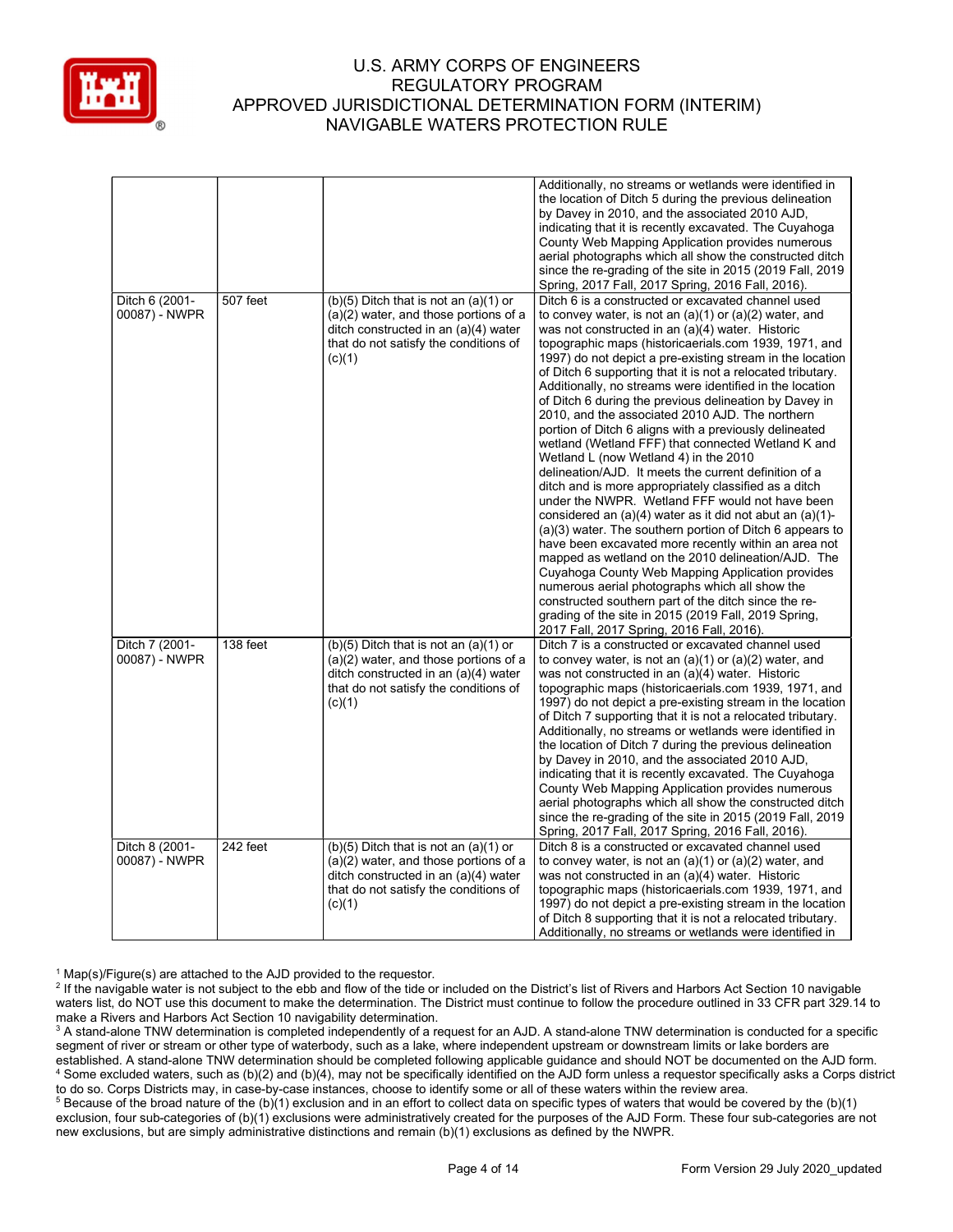

|                                 |          |                                                                                                                                                                                 | Additionally, no streams or wetlands were identified in<br>the location of Ditch 5 during the previous delineation<br>by Davey in 2010, and the associated 2010 AJD,<br>indicating that it is recently excavated. The Cuyahoga<br>County Web Mapping Application provides numerous<br>aerial photographs which all show the constructed ditch<br>since the re-grading of the site in 2015 (2019 Fall, 2019<br>Spring, 2017 Fall, 2017 Spring, 2016 Fall, 2016).                                                                                                                                                                                                                                                                                                                                                                                                                                                                                                                                                                                                                                                                                                                                                                                                                                                                                                             |
|---------------------------------|----------|---------------------------------------------------------------------------------------------------------------------------------------------------------------------------------|-----------------------------------------------------------------------------------------------------------------------------------------------------------------------------------------------------------------------------------------------------------------------------------------------------------------------------------------------------------------------------------------------------------------------------------------------------------------------------------------------------------------------------------------------------------------------------------------------------------------------------------------------------------------------------------------------------------------------------------------------------------------------------------------------------------------------------------------------------------------------------------------------------------------------------------------------------------------------------------------------------------------------------------------------------------------------------------------------------------------------------------------------------------------------------------------------------------------------------------------------------------------------------------------------------------------------------------------------------------------------------|
| Ditch 6 (2001-<br>00087) - NWPR | 507 feet | $(b)(5)$ Ditch that is not an $(a)(1)$ or<br>(a)(2) water, and those portions of a<br>ditch constructed in an (a)(4) water<br>that do not satisfy the conditions of<br>(c)(1)   | Ditch 6 is a constructed or excavated channel used<br>to convey water, is not an $(a)(1)$ or $(a)(2)$ water, and<br>was not constructed in an (a)(4) water. Historic<br>topographic maps (historicaerials.com 1939, 1971, and<br>1997) do not depict a pre-existing stream in the location<br>of Ditch 6 supporting that it is not a relocated tributary.<br>Additionally, no streams were identified in the location<br>of Ditch 6 during the previous delineation by Davey in<br>2010, and the associated 2010 AJD. The northern<br>portion of Ditch 6 aligns with a previously delineated<br>wetland (Wetland FFF) that connected Wetland K and<br>Wetland L (now Wetland 4) in the 2010<br>delineation/AJD. It meets the current definition of a<br>ditch and is more appropriately classified as a ditch<br>under the NWPR. Wetland FFF would not have been<br>considered an (a)(4) water as it did not abut an (a)(1)-<br>$(a)(3)$ water. The southern portion of Ditch 6 appears to<br>have been excavated more recently within an area not<br>mapped as wetland on the 2010 delineation/AJD. The<br>Cuyahoga County Web Mapping Application provides<br>numerous aerial photographs which all show the<br>constructed southern part of the ditch since the re-<br>grading of the site in 2015 (2019 Fall, 2019 Spring,<br>2017 Fall, 2017 Spring, 2016 Fall, 2016). |
| Ditch 7 (2001-<br>00087) - NWPR | 138 feet | $(b)(5)$ Ditch that is not an $(a)(1)$ or<br>$(a)(2)$ water, and those portions of a<br>ditch constructed in an (a)(4) water<br>that do not satisfy the conditions of<br>(c)(1) | Ditch 7 is a constructed or excavated channel used<br>to convey water, is not an $(a)(1)$ or $(a)(2)$ water, and<br>was not constructed in an (a)(4) water. Historic<br>topographic maps (historicaerials.com 1939, 1971, and<br>1997) do not depict a pre-existing stream in the location<br>of Ditch 7 supporting that it is not a relocated tributary.<br>Additionally, no streams or wetlands were identified in<br>the location of Ditch 7 during the previous delineation<br>by Davey in 2010, and the associated 2010 AJD,<br>indicating that it is recently excavated. The Cuyahoga<br>County Web Mapping Application provides numerous<br>aerial photographs which all show the constructed ditch<br>since the re-grading of the site in 2015 (2019 Fall, 2019<br>Spring, 2017 Fall, 2017 Spring, 2016 Fall, 2016).                                                                                                                                                                                                                                                                                                                                                                                                                                                                                                                                                |
| Ditch 8 (2001-<br>00087) - NWPR | 242 feet | $(b)(5)$ Ditch that is not an $(a)(1)$ or<br>(a)(2) water, and those portions of a<br>ditch constructed in an (a)(4) water<br>that do not satisfy the conditions of<br>(c)(1)   | Ditch 8 is a constructed or excavated channel used<br>to convey water, is not an $(a)(1)$ or $(a)(2)$ water, and<br>was not constructed in an (a)(4) water. Historic<br>topographic maps (historicaerials.com 1939, 1971, and<br>1997) do not depict a pre-existing stream in the location<br>of Ditch 8 supporting that it is not a relocated tributary.<br>Additionally, no streams or wetlands were identified in                                                                                                                                                                                                                                                                                                                                                                                                                                                                                                                                                                                                                                                                                                                                                                                                                                                                                                                                                        |

<sup>1</sup> Map(s)/Figure(s) are attached to the AJD provided to the requestor.

<sup>2</sup> If the navigable water is not subject to the ebb and flow of the tide or included on the District's list of Rivers and Harbors Act Section 10 navigable waters list, do NOT use this document to make the determination. The District must continue to follow the procedure outlined in 33 CFR part 329.14 to make a Rivers and Harbors Act Section 10 navigability determination.

 $^3$  A stand-alone TNW determination is completed independently of a request for an AJD. A stand-alone TNW determination is conducted for a specific segment of river or stream or other type of waterbody, such as a lake, where independent upstream or downstream limits or lake borders are established. A stand-alone TNW determination should be completed following applicable guidance and should NOT be documented on the AJD form. 4 Some excluded waters, such as (b)(2) and (b)(4), may not be specifically identified on the AJD form unless a requestor specifically asks a Corps district to do so. Corps Districts may, in case-by-case instances, choose to identify some or all of these waters within the review area.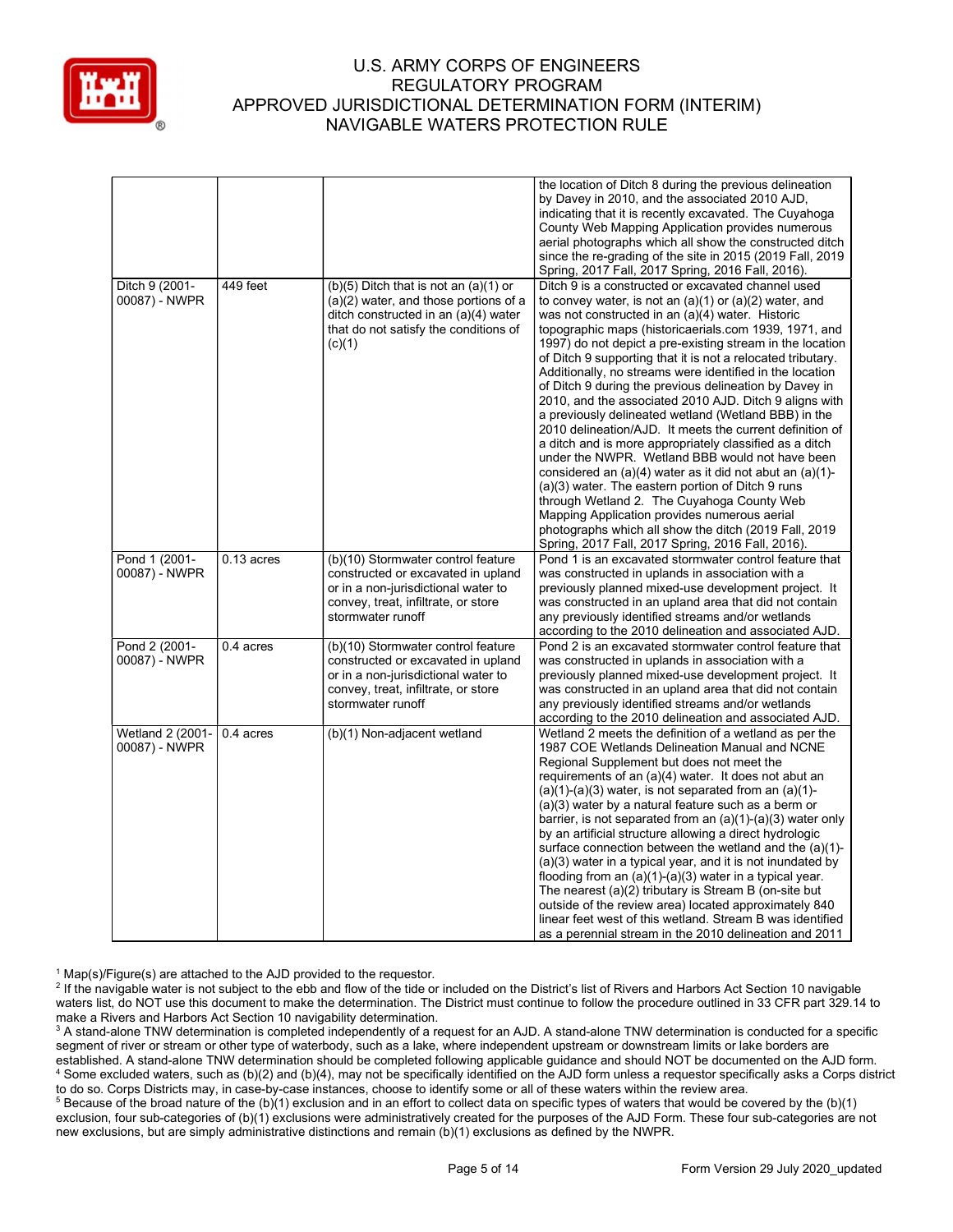

|                                   |              |                                                                                                                                                                               | the location of Ditch 8 during the previous delineation<br>by Davey in 2010, and the associated 2010 AJD,<br>indicating that it is recently excavated. The Cuyahoga<br>County Web Mapping Application provides numerous<br>aerial photographs which all show the constructed ditch<br>since the re-grading of the site in 2015 (2019 Fall, 2019<br>Spring, 2017 Fall, 2017 Spring, 2016 Fall, 2016).                                                                                                                                                                                                                                                                                                                                                                                                                                                                                                                                                                                                                                                                                                     |
|-----------------------------------|--------------|-------------------------------------------------------------------------------------------------------------------------------------------------------------------------------|----------------------------------------------------------------------------------------------------------------------------------------------------------------------------------------------------------------------------------------------------------------------------------------------------------------------------------------------------------------------------------------------------------------------------------------------------------------------------------------------------------------------------------------------------------------------------------------------------------------------------------------------------------------------------------------------------------------------------------------------------------------------------------------------------------------------------------------------------------------------------------------------------------------------------------------------------------------------------------------------------------------------------------------------------------------------------------------------------------|
| Ditch 9 (2001-<br>00087) - NWPR   | 449 feet     | $(b)(5)$ Ditch that is not an $(a)(1)$ or<br>(a)(2) water, and those portions of a<br>ditch constructed in an (a)(4) water<br>that do not satisfy the conditions of<br>(c)(1) | Ditch 9 is a constructed or excavated channel used<br>to convey water, is not an $(a)(1)$ or $(a)(2)$ water, and<br>was not constructed in an (a)(4) water. Historic<br>topographic maps (historicaerials.com 1939, 1971, and<br>1997) do not depict a pre-existing stream in the location<br>of Ditch 9 supporting that it is not a relocated tributary.<br>Additionally, no streams were identified in the location<br>of Ditch 9 during the previous delineation by Davey in<br>2010, and the associated 2010 AJD. Ditch 9 aligns with<br>a previously delineated wetland (Wetland BBB) in the<br>2010 delineation/AJD. It meets the current definition of<br>a ditch and is more appropriately classified as a ditch<br>under the NWPR. Wetland BBB would not have been<br>considered an (a)(4) water as it did not abut an (a)(1)-<br>(a)(3) water. The eastern portion of Ditch 9 runs<br>through Wetland 2. The Cuyahoga County Web<br>Mapping Application provides numerous aerial<br>photographs which all show the ditch (2019 Fall, 2019<br>Spring, 2017 Fall, 2017 Spring, 2016 Fall, 2016). |
| Pond 1 (2001-<br>00087) - NWPR    | $0.13$ acres | (b)(10) Stormwater control feature<br>constructed or excavated in upland<br>or in a non-jurisdictional water to<br>convey, treat, infiltrate, or store<br>stormwater runoff   | Pond 1 is an excavated stormwater control feature that<br>was constructed in uplands in association with a<br>previously planned mixed-use development project. It<br>was constructed in an upland area that did not contain<br>any previously identified streams and/or wetlands<br>according to the 2010 delineation and associated AJD.                                                                                                                                                                                                                                                                                                                                                                                                                                                                                                                                                                                                                                                                                                                                                               |
| Pond 2 (2001-<br>00087) - NWPR    | $0.4$ acres  | (b)(10) Stormwater control feature<br>constructed or excavated in upland<br>or in a non-jurisdictional water to<br>convey, treat, infiltrate, or store<br>stormwater runoff   | Pond 2 is an excavated stormwater control feature that<br>was constructed in uplands in association with a<br>previously planned mixed-use development project. It<br>was constructed in an upland area that did not contain<br>any previously identified streams and/or wetlands<br>according to the 2010 delineation and associated AJD.                                                                                                                                                                                                                                                                                                                                                                                                                                                                                                                                                                                                                                                                                                                                                               |
| Wetland 2 (2001-<br>00087) - NWPR | 0.4 acres    | (b)(1) Non-adjacent wetland                                                                                                                                                   | Wetland 2 meets the definition of a wetland as per the<br>1987 COE Wetlands Delineation Manual and NCNE<br>Regional Supplement but does not meet the<br>requirements of an (a)(4) water. It does not abut an<br>$(a)(1)-(a)(3)$ water, is not separated from an $(a)(1)-$<br>(a)(3) water by a natural feature such as a berm or<br>barrier, is not separated from an $(a)(1)-(a)(3)$ water only<br>by an artificial structure allowing a direct hydrologic<br>surface connection between the wetland and the (a)(1)-<br>(a)(3) water in a typical year, and it is not inundated by<br>flooding from an (a)(1)-(a)(3) water in a typical year.<br>The nearest (a)(2) tributary is Stream B (on-site but<br>outside of the review area) located approximately 840<br>linear feet west of this wetland. Stream B was identified<br>as a perennial stream in the 2010 delineation and 2011                                                                                                                                                                                                                  |

<sup>1</sup> Map(s)/Figure(s) are attached to the AJD provided to the requestor.

<sup>2</sup> If the navigable water is not subject to the ebb and flow of the tide or included on the District's list of Rivers and Harbors Act Section 10 navigable waters list, do NOT use this document to make the determination. The District must continue to follow the procedure outlined in 33 CFR part 329.14 to make a Rivers and Harbors Act Section 10 navigability determination.

 $^3$  A stand-alone TNW determination is completed independently of a request for an AJD. A stand-alone TNW determination is conducted for a specific segment of river or stream or other type of waterbody, such as a lake, where independent upstream or downstream limits or lake borders are established. A stand-alone TNW determination should be completed following applicable guidance and should NOT be documented on the AJD form. 4 Some excluded waters, such as (b)(2) and (b)(4), may not be specifically identified on the AJD form unless a requestor specifically asks a Corps district to do so. Corps Districts may, in case-by-case instances, choose to identify some or all of these waters within the review area.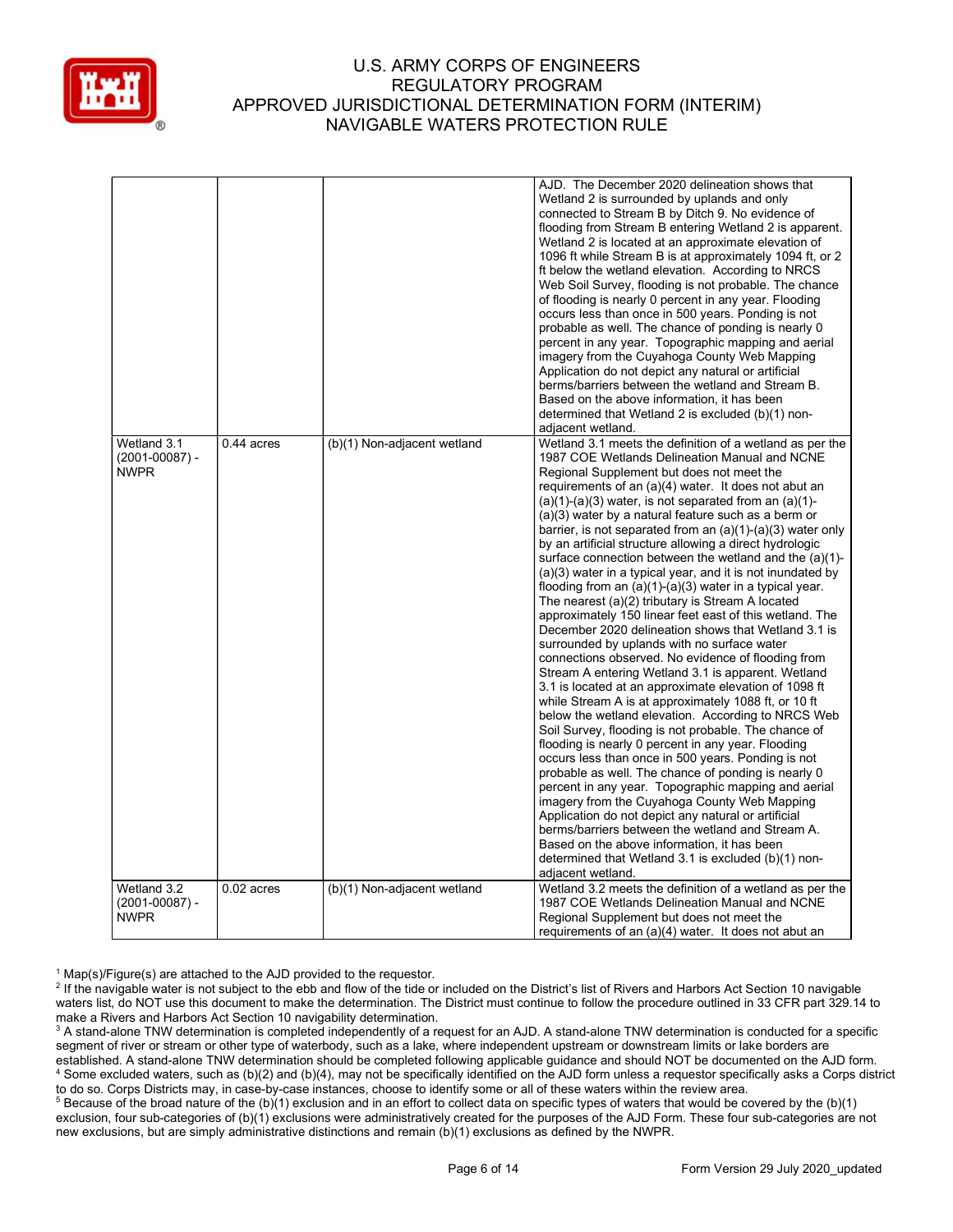

|                    |              |                             | AJD. The December 2020 delineation shows that                                                       |
|--------------------|--------------|-----------------------------|-----------------------------------------------------------------------------------------------------|
|                    |              |                             | Wetland 2 is surrounded by uplands and only                                                         |
|                    |              |                             | connected to Stream B by Ditch 9. No evidence of                                                    |
|                    |              |                             | flooding from Stream B entering Wetland 2 is apparent.                                              |
|                    |              |                             | Wetland 2 is located at an approximate elevation of                                                 |
|                    |              |                             | 1096 ft while Stream B is at approximately 1094 ft, or 2                                            |
|                    |              |                             | ft below the wetland elevation. According to NRCS                                                   |
|                    |              |                             | Web Soil Survey, flooding is not probable. The chance                                               |
|                    |              |                             | of flooding is nearly 0 percent in any year. Flooding                                               |
|                    |              |                             | occurs less than once in 500 years. Ponding is not                                                  |
|                    |              |                             | probable as well. The chance of ponding is nearly 0                                                 |
|                    |              |                             | percent in any year. Topographic mapping and aerial                                                 |
|                    |              |                             | imagery from the Cuyahoga County Web Mapping                                                        |
|                    |              |                             | Application do not depict any natural or artificial                                                 |
|                    |              |                             | berms/barriers between the wetland and Stream B.                                                    |
|                    |              |                             | Based on the above information, it has been                                                         |
|                    |              |                             | determined that Wetland 2 is excluded (b)(1) non-                                                   |
|                    |              |                             | adjacent wetland.                                                                                   |
|                    |              |                             |                                                                                                     |
| Wetland 3.1        | $0.44$ acres | (b)(1) Non-adjacent wetland | Wetland 3.1 meets the definition of a wetland as per the                                            |
| $(2001 - 00087) -$ |              |                             | 1987 COE Wetlands Delineation Manual and NCNE                                                       |
| <b>NWPR</b>        |              |                             | Regional Supplement but does not meet the                                                           |
|                    |              |                             | requirements of an (a)(4) water. It does not abut an                                                |
|                    |              |                             | $(a)(1)-(a)(3)$ water, is not separated from an $(a)(1)-$                                           |
|                    |              |                             | (a)(3) water by a natural feature such as a berm or                                                 |
|                    |              |                             | barrier, is not separated from an $(a)(1)-(a)(3)$ water only                                        |
|                    |              |                             | by an artificial structure allowing a direct hydrologic                                             |
|                    |              |                             | surface connection between the wetland and the (a)(1)-                                              |
|                    |              |                             | (a)(3) water in a typical year, and it is not inundated by                                          |
|                    |              |                             | flooding from an $(a)(1)-(a)(3)$ water in a typical year.                                           |
|                    |              |                             | The nearest (a)(2) tributary is Stream A located                                                    |
|                    |              |                             | approximately 150 linear feet east of this wetland. The                                             |
|                    |              |                             | December 2020 delineation shows that Wetland 3.1 is                                                 |
|                    |              |                             | surrounded by uplands with no surface water                                                         |
|                    |              |                             | connections observed. No evidence of flooding from                                                  |
|                    |              |                             | Stream A entering Wetland 3.1 is apparent. Wetland                                                  |
|                    |              |                             | 3.1 is located at an approximate elevation of 1098 ft                                               |
|                    |              |                             | while Stream A is at approximately 1088 ft, or 10 ft                                                |
|                    |              |                             | below the wetland elevation. According to NRCS Web                                                  |
|                    |              |                             | Soil Survey, flooding is not probable. The chance of                                                |
|                    |              |                             | flooding is nearly 0 percent in any year. Flooding                                                  |
|                    |              |                             | occurs less than once in 500 years. Ponding is not                                                  |
|                    |              |                             | probable as well. The chance of ponding is nearly 0                                                 |
|                    |              |                             | percent in any year. Topographic mapping and aerial                                                 |
|                    |              |                             |                                                                                                     |
|                    |              |                             | imagery from the Cuyahoga County Web Mapping<br>Application do not depict any natural or artificial |
|                    |              |                             |                                                                                                     |
|                    |              |                             | berms/barriers between the wetland and Stream A.                                                    |
|                    |              |                             | Based on the above information, it has been                                                         |
|                    |              |                             | determined that Wetland 3.1 is excluded (b)(1) non-                                                 |
|                    |              |                             | adjacent wetland.                                                                                   |
| Wetland 3.2        | $0.02$ acres | (b)(1) Non-adjacent wetland | Wetland 3.2 meets the definition of a wetland as per the                                            |
| $(2001 - 00087) -$ |              |                             | 1987 COE Wetlands Delineation Manual and NCNE                                                       |
| <b>NWPR</b>        |              |                             | Regional Supplement but does not meet the                                                           |
|                    |              |                             | requirements of an (a)(4) water. It does not abut an                                                |

<sup>1</sup> Map(s)/Figure(s) are attached to the AJD provided to the requestor.

<sup>&</sup>lt;sup>2</sup> If the navigable water is not subject to the ebb and flow of the tide or included on the District's list of Rivers and Harbors Act Section 10 navigable waters list, do NOT use this document to make the determination. The District must continue to follow the procedure outlined in 33 CFR part 329.14 to make a Rivers and Harbors Act Section 10 navigability determination.

 $^3$  A stand-alone TNW determination is completed independently of a request for an AJD. A stand-alone TNW determination is conducted for a specific segment of river or stream or other type of waterbody, such as a lake, where independent upstream or downstream limits or lake borders are established. A stand-alone TNW determination should be completed following applicable guidance and should NOT be documented on the AJD form. 4 Some excluded waters, such as (b)(2) and (b)(4), may not be specifically identified on the AJD form unless a requestor specifically asks a Corps district to do so. Corps Districts may, in case-by-case instances, choose to identify some or all of these waters within the review area.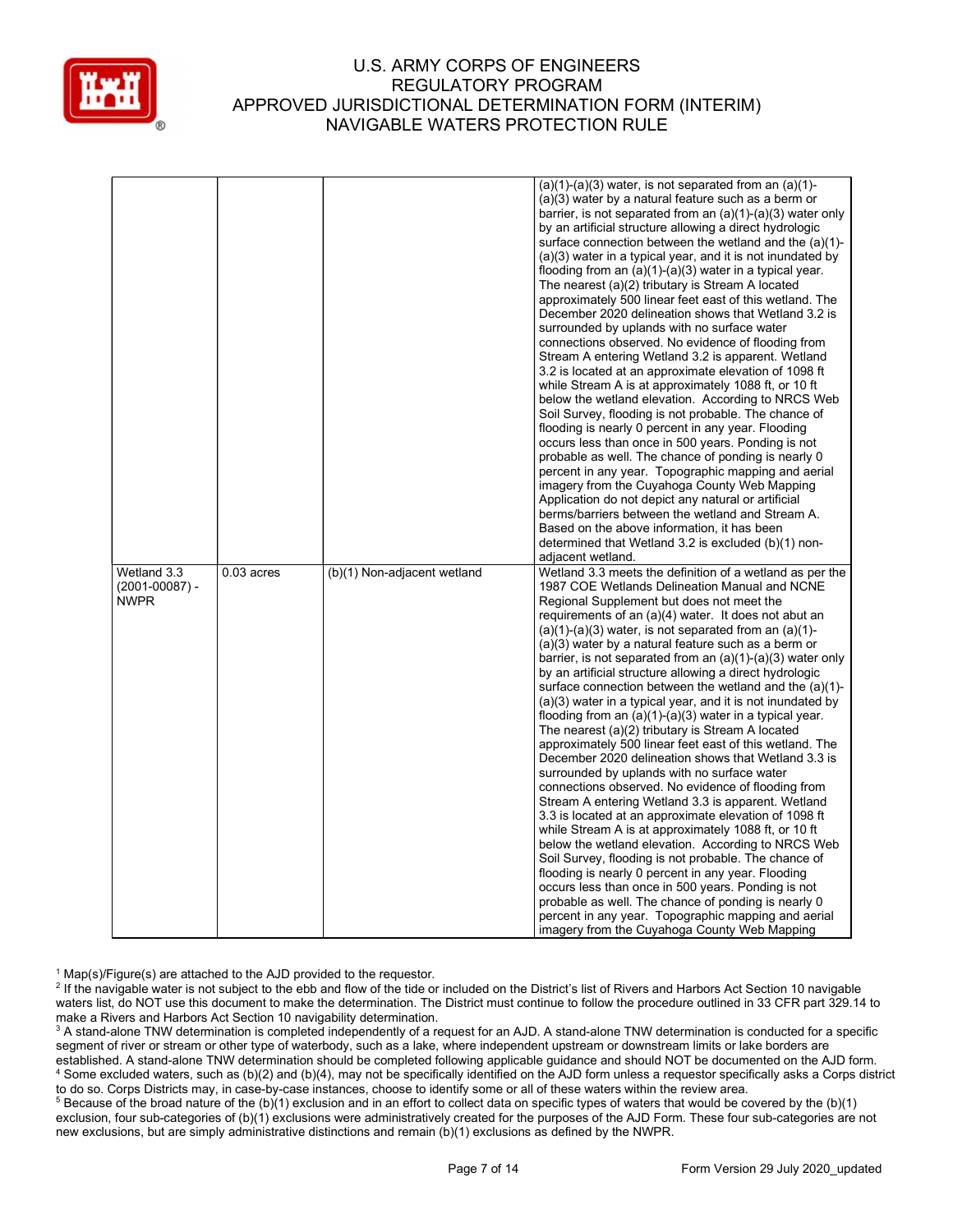

|                    |              |                             | $(a)(1)-(a)(3)$ water, is not separated from an $(a)(1)-$                                           |
|--------------------|--------------|-----------------------------|-----------------------------------------------------------------------------------------------------|
|                    |              |                             | $(a)(3)$ water by a natural feature such as a berm or                                               |
|                    |              |                             | barrier, is not separated from an $(a)(1)-(a)(3)$ water only                                        |
|                    |              |                             | by an artificial structure allowing a direct hydrologic                                             |
|                    |              |                             | surface connection between the wetland and the (a)(1)-                                              |
|                    |              |                             | $(a)(3)$ water in a typical year, and it is not inundated by                                        |
|                    |              |                             |                                                                                                     |
|                    |              |                             | flooding from an $(a)(1)-(a)(3)$ water in a typical year.                                           |
|                    |              |                             | The nearest (a)(2) tributary is Stream A located                                                    |
|                    |              |                             | approximately 500 linear feet east of this wetland. The                                             |
|                    |              |                             | December 2020 delineation shows that Wetland 3.2 is                                                 |
|                    |              |                             | surrounded by uplands with no surface water                                                         |
|                    |              |                             | connections observed. No evidence of flooding from                                                  |
|                    |              |                             | Stream A entering Wetland 3.2 is apparent. Wetland                                                  |
|                    |              |                             | 3.2 is located at an approximate elevation of 1098 ft                                               |
|                    |              |                             | while Stream A is at approximately 1088 ft, or 10 ft                                                |
|                    |              |                             | below the wetland elevation. According to NRCS Web                                                  |
|                    |              |                             | Soil Survey, flooding is not probable. The chance of                                                |
|                    |              |                             | flooding is nearly 0 percent in any year. Flooding                                                  |
|                    |              |                             | occurs less than once in 500 years. Ponding is not                                                  |
|                    |              |                             | probable as well. The chance of ponding is nearly 0                                                 |
|                    |              |                             | percent in any year. Topographic mapping and aerial                                                 |
|                    |              |                             | imagery from the Cuyahoga County Web Mapping                                                        |
|                    |              |                             | Application do not depict any natural or artificial                                                 |
|                    |              |                             | berms/barriers between the wetland and Stream A.                                                    |
|                    |              |                             | Based on the above information, it has been                                                         |
|                    |              |                             | determined that Wetland 3.2 is excluded (b)(1) non-                                                 |
|                    |              |                             |                                                                                                     |
|                    |              |                             |                                                                                                     |
|                    |              |                             | adjacent wetland.                                                                                   |
| Wetland 3.3        | $0.03$ acres | (b)(1) Non-adjacent wetland | Wetland 3.3 meets the definition of a wetland as per the                                            |
| $(2001 - 00087) -$ |              |                             | 1987 COE Wetlands Delineation Manual and NCNE                                                       |
| <b>NWPR</b>        |              |                             | Regional Supplement but does not meet the                                                           |
|                    |              |                             | requirements of an (a)(4) water. It does not abut an                                                |
|                    |              |                             | $(a)(1)-(a)(3)$ water, is not separated from an $(a)(1)-$                                           |
|                    |              |                             | (a)(3) water by a natural feature such as a berm or                                                 |
|                    |              |                             | barrier, is not separated from an $(a)(1)-(a)(3)$ water only                                        |
|                    |              |                             | by an artificial structure allowing a direct hydrologic                                             |
|                    |              |                             | surface connection between the wetland and the (a)(1)-                                              |
|                    |              |                             | $(a)(3)$ water in a typical year, and it is not inundated by                                        |
|                    |              |                             | flooding from an $(a)(1)-(a)(3)$ water in a typical year.                                           |
|                    |              |                             | The nearest (a)(2) tributary is Stream A located                                                    |
|                    |              |                             | approximately 500 linear feet east of this wetland. The                                             |
|                    |              |                             | December 2020 delineation shows that Wetland 3.3 is                                                 |
|                    |              |                             | surrounded by uplands with no surface water                                                         |
|                    |              |                             | connections observed. No evidence of flooding from                                                  |
|                    |              |                             | Stream A entering Wetland 3.3 is apparent. Wetland                                                  |
|                    |              |                             | 3.3 is located at an approximate elevation of 1098 ft                                               |
|                    |              |                             | while Stream A is at approximately 1088 ft, or 10 ft                                                |
|                    |              |                             | below the wetland elevation. According to NRCS Web                                                  |
|                    |              |                             |                                                                                                     |
|                    |              |                             | Soil Survey, flooding is not probable. The chance of                                                |
|                    |              |                             | flooding is nearly 0 percent in any year. Flooding                                                  |
|                    |              |                             | occurs less than once in 500 years. Ponding is not                                                  |
|                    |              |                             | probable as well. The chance of ponding is nearly 0                                                 |
|                    |              |                             |                                                                                                     |
|                    |              |                             | percent in any year. Topographic mapping and aerial<br>imagery from the Cuyahoga County Web Mapping |

<sup>1</sup> Map(s)/Figure(s) are attached to the AJD provided to the requestor.

<sup>2</sup> If the navigable water is not subject to the ebb and flow of the tide or included on the District's list of Rivers and Harbors Act Section 10 navigable waters list, do NOT use this document to make the determination. The District must continue to follow the procedure outlined in 33 CFR part 329.14 to make a Rivers and Harbors Act Section 10 navigability determination.

 $^3$  A stand-alone TNW determination is completed independently of a request for an AJD. A stand-alone TNW determination is conducted for a specific segment of river or stream or other type of waterbody, such as a lake, where independent upstream or downstream limits or lake borders are established. A stand-alone TNW determination should be completed following applicable guidance and should NOT be documented on the AJD form. 4 Some excluded waters, such as (b)(2) and (b)(4), may not be specifically identified on the AJD form unless a requestor specifically asks a Corps district to do so. Corps Districts may, in case-by-case instances, choose to identify some or all of these waters within the review area.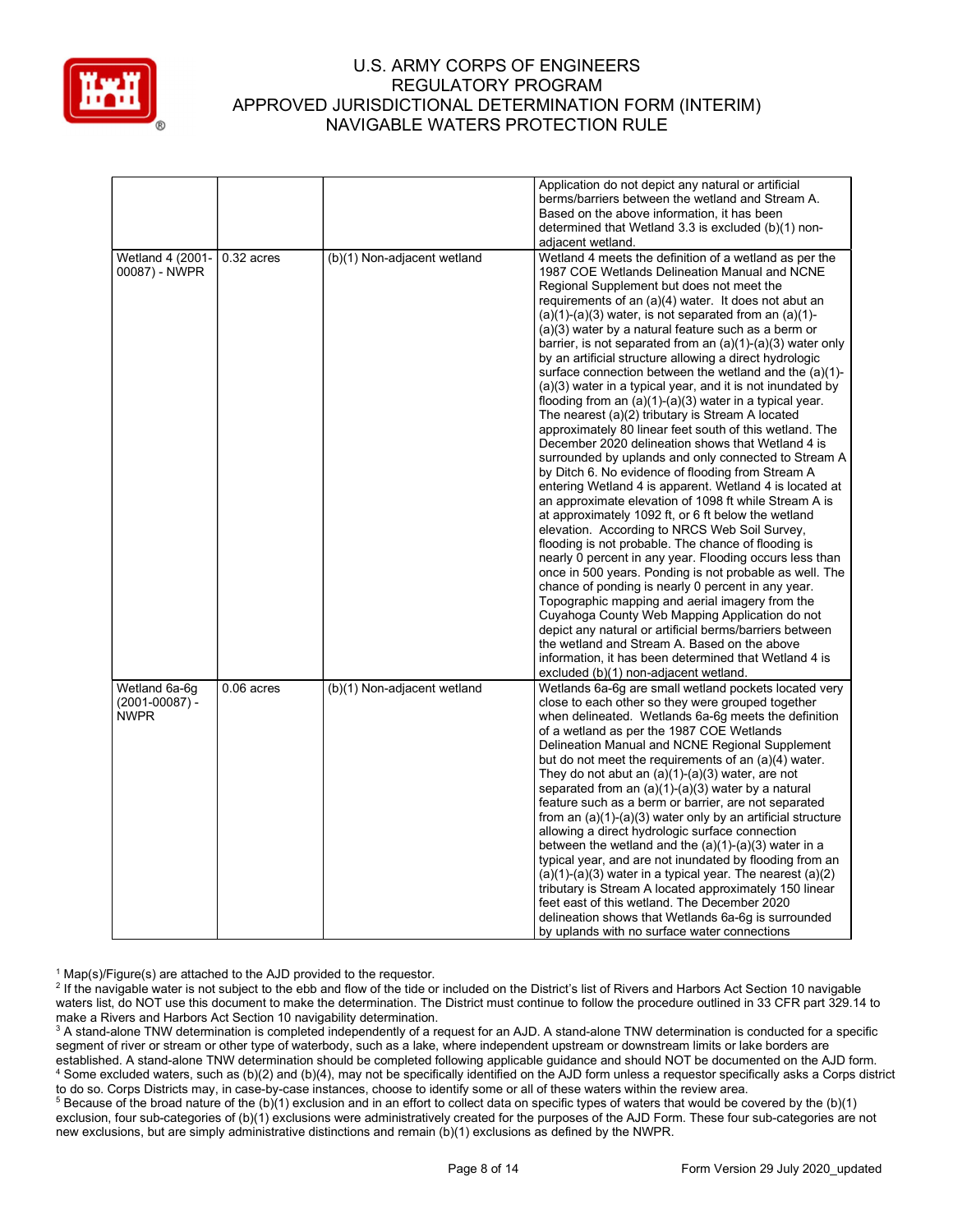

|                                                    |              |                             | Application do not depict any natural or artificial<br>berms/barriers between the wetland and Stream A.<br>Based on the above information, it has been<br>determined that Wetland 3.3 is excluded (b)(1) non-                                                                                                                                                                                                                                                                                                                                                                                                                                                                                                                                                                                                                                                                                                                                                                                                                                                                                                                                                                                                                                                                                                                                                                                                                                                                                                                                                                                                      |
|----------------------------------------------------|--------------|-----------------------------|--------------------------------------------------------------------------------------------------------------------------------------------------------------------------------------------------------------------------------------------------------------------------------------------------------------------------------------------------------------------------------------------------------------------------------------------------------------------------------------------------------------------------------------------------------------------------------------------------------------------------------------------------------------------------------------------------------------------------------------------------------------------------------------------------------------------------------------------------------------------------------------------------------------------------------------------------------------------------------------------------------------------------------------------------------------------------------------------------------------------------------------------------------------------------------------------------------------------------------------------------------------------------------------------------------------------------------------------------------------------------------------------------------------------------------------------------------------------------------------------------------------------------------------------------------------------------------------------------------------------|
|                                                    |              |                             | adjacent wetland.                                                                                                                                                                                                                                                                                                                                                                                                                                                                                                                                                                                                                                                                                                                                                                                                                                                                                                                                                                                                                                                                                                                                                                                                                                                                                                                                                                                                                                                                                                                                                                                                  |
| Wetland 4 (2001-<br>00087) - NWPR                  | $0.32$ acres | (b)(1) Non-adjacent wetland | Wetland 4 meets the definition of a wetland as per the<br>1987 COE Wetlands Delineation Manual and NCNE<br>Regional Supplement but does not meet the<br>requirements of an (a)(4) water. It does not abut an<br>$(a)(1)-(a)(3)$ water, is not separated from an $(a)(1)-$<br>(a)(3) water by a natural feature such as a berm or<br>barrier, is not separated from an $(a)(1)-(a)(3)$ water only<br>by an artificial structure allowing a direct hydrologic<br>surface connection between the wetland and the (a)(1)-<br>$(a)(3)$ water in a typical year, and it is not inundated by<br>flooding from an $(a)(1)-(a)(3)$ water in a typical year.<br>The nearest (a)(2) tributary is Stream A located<br>approximately 80 linear feet south of this wetland. The<br>December 2020 delineation shows that Wetland 4 is<br>surrounded by uplands and only connected to Stream A<br>by Ditch 6. No evidence of flooding from Stream A<br>entering Wetland 4 is apparent. Wetland 4 is located at<br>an approximate elevation of 1098 ft while Stream A is<br>at approximately 1092 ft, or 6 ft below the wetland<br>elevation. According to NRCS Web Soil Survey,<br>flooding is not probable. The chance of flooding is<br>nearly 0 percent in any year. Flooding occurs less than<br>once in 500 years. Ponding is not probable as well. The<br>chance of ponding is nearly 0 percent in any year.<br>Topographic mapping and aerial imagery from the<br>Cuyahoga County Web Mapping Application do not<br>depict any natural or artificial berms/barriers between<br>the wetland and Stream A. Based on the above |
|                                                    |              |                             | information, it has been determined that Wetland 4 is                                                                                                                                                                                                                                                                                                                                                                                                                                                                                                                                                                                                                                                                                                                                                                                                                                                                                                                                                                                                                                                                                                                                                                                                                                                                                                                                                                                                                                                                                                                                                              |
|                                                    |              |                             |                                                                                                                                                                                                                                                                                                                                                                                                                                                                                                                                                                                                                                                                                                                                                                                                                                                                                                                                                                                                                                                                                                                                                                                                                                                                                                                                                                                                                                                                                                                                                                                                                    |
| Wetland 6a-6g<br>$(2001 - 00087) -$<br><b>NWPR</b> | $0.06$ acres | (b)(1) Non-adjacent wetland | excluded (b)(1) non-adjacent wetland.<br>Wetlands 6a-6g are small wetland pockets located very<br>close to each other so they were grouped together<br>when delineated. Wetlands 6a-6g meets the definition<br>of a wetland as per the 1987 COE Wetlands<br>Delineation Manual and NCNE Regional Supplement<br>but do not meet the requirements of an $(a)(4)$ water.<br>They do not abut an $(a)(1)-(a)(3)$ water, are not<br>separated from an $(a)(1)-(a)(3)$ water by a natural<br>feature such as a berm or barrier, are not separated<br>from an $(a)(1)-(a)(3)$ water only by an artificial structure<br>allowing a direct hydrologic surface connection<br>between the wetland and the $(a)(1)-(a)(3)$ water in a<br>typical year, and are not inundated by flooding from an<br>$(a)(1)-(a)(3)$ water in a typical year. The nearest $(a)(2)$<br>tributary is Stream A located approximately 150 linear<br>feet east of this wetland. The December 2020<br>delineation shows that Wetlands 6a-6q is surrounded<br>by uplands with no surface water connections                                                                                                                                                                                                                                                                                                                                                                                                                                                                                                                                             |

<sup>1</sup> Map(s)/Figure(s) are attached to the AJD provided to the requestor.

<sup>2</sup> If the navigable water is not subject to the ebb and flow of the tide or included on the District's list of Rivers and Harbors Act Section 10 navigable waters list, do NOT use this document to make the determination. The District must continue to follow the procedure outlined in 33 CFR part 329.14 to make a Rivers and Harbors Act Section 10 navigability determination.

 $^3$  A stand-alone TNW determination is completed independently of a request for an AJD. A stand-alone TNW determination is conducted for a specific segment of river or stream or other type of waterbody, such as a lake, where independent upstream or downstream limits or lake borders are established. A stand-alone TNW determination should be completed following applicable guidance and should NOT be documented on the AJD form. 4 Some excluded waters, such as (b)(2) and (b)(4), may not be specifically identified on the AJD form unless a requestor specifically asks a Corps district to do so. Corps Districts may, in case-by-case instances, choose to identify some or all of these waters within the review area.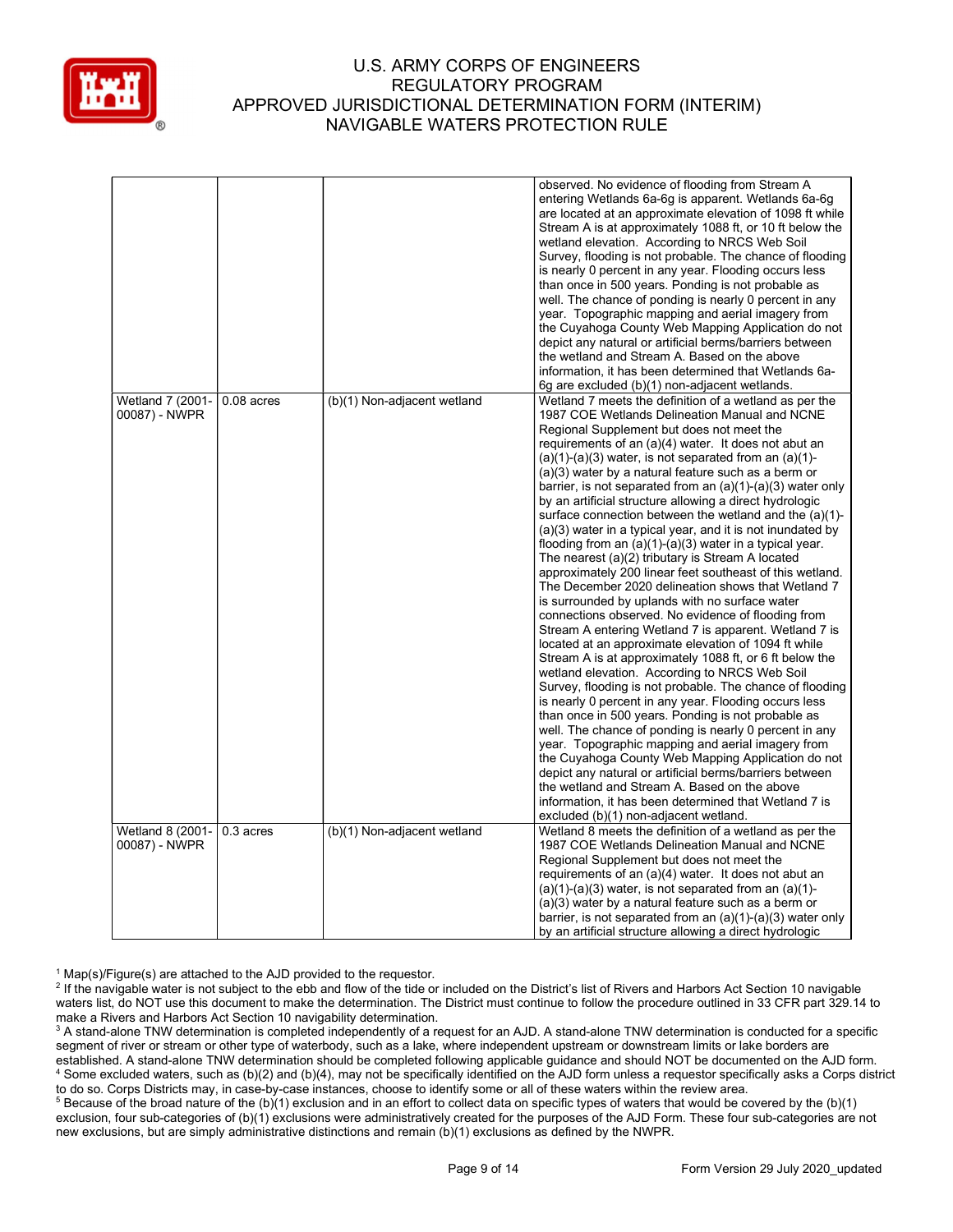

|                         |              |                             | observed. No evidence of flooding from Stream A                                                             |
|-------------------------|--------------|-----------------------------|-------------------------------------------------------------------------------------------------------------|
|                         |              |                             | entering Wetlands 6a-6g is apparent. Wetlands 6a-6g                                                         |
|                         |              |                             | are located at an approximate elevation of 1098 ft while                                                    |
|                         |              |                             | Stream A is at approximately 1088 ft, or 10 ft below the                                                    |
|                         |              |                             | wetland elevation. According to NRCS Web Soil                                                               |
|                         |              |                             | Survey, flooding is not probable. The chance of flooding                                                    |
|                         |              |                             | is nearly 0 percent in any year. Flooding occurs less                                                       |
|                         |              |                             | than once in 500 years. Ponding is not probable as                                                          |
|                         |              |                             | well. The chance of ponding is nearly 0 percent in any<br>year. Topographic mapping and aerial imagery from |
|                         |              |                             | the Cuyahoga County Web Mapping Application do not                                                          |
|                         |              |                             | depict any natural or artificial berms/barriers between                                                     |
|                         |              |                             | the wetland and Stream A. Based on the above                                                                |
|                         |              |                             | information, it has been determined that Wetlands 6a-                                                       |
|                         |              |                             | 6g are excluded (b)(1) non-adjacent wetlands.                                                               |
| Wetland 7 (2001-        | $0.08$ acres | (b)(1) Non-adjacent wetland | Wetland 7 meets the definition of a wetland as per the                                                      |
| 00087) - NWPR           |              |                             | 1987 COE Wetlands Delineation Manual and NCNE                                                               |
|                         |              |                             | Regional Supplement but does not meet the                                                                   |
|                         |              |                             | requirements of an (a)(4) water. It does not abut an                                                        |
|                         |              |                             | $(a)(1)-(a)(3)$ water, is not separated from an $(a)(1)-$                                                   |
|                         |              |                             | (a)(3) water by a natural feature such as a berm or                                                         |
|                         |              |                             | barrier, is not separated from an $(a)(1)-(a)(3)$ water only                                                |
|                         |              |                             | by an artificial structure allowing a direct hydrologic                                                     |
|                         |              |                             | surface connection between the wetland and the (a)(1)-                                                      |
|                         |              |                             | (a)(3) water in a typical year, and it is not inundated by                                                  |
|                         |              |                             | flooding from an (a)(1)-(a)(3) water in a typical year.                                                     |
|                         |              |                             | The nearest (a)(2) tributary is Stream A located                                                            |
|                         |              |                             | approximately 200 linear feet southeast of this wetland.                                                    |
|                         |              |                             | The December 2020 delineation shows that Wetland 7                                                          |
|                         |              |                             | is surrounded by uplands with no surface water                                                              |
|                         |              |                             | connections observed. No evidence of flooding from                                                          |
|                         |              |                             | Stream A entering Wetland 7 is apparent. Wetland 7 is                                                       |
|                         |              |                             | located at an approximate elevation of 1094 ft while                                                        |
|                         |              |                             | Stream A is at approximately 1088 ft, or 6 ft below the                                                     |
|                         |              |                             | wetland elevation. According to NRCS Web Soil                                                               |
|                         |              |                             | Survey, flooding is not probable. The chance of flooding                                                    |
|                         |              |                             | is nearly 0 percent in any year. Flooding occurs less                                                       |
|                         |              |                             | than once in 500 years. Ponding is not probable as                                                          |
|                         |              |                             | well. The chance of ponding is nearly 0 percent in any                                                      |
|                         |              |                             | year. Topographic mapping and aerial imagery from                                                           |
|                         |              |                             | the Cuyahoga County Web Mapping Application do not                                                          |
|                         |              |                             | depict any natural or artificial berms/barriers between                                                     |
|                         |              |                             | the wetland and Stream A. Based on the above                                                                |
|                         |              |                             | information, it has been determined that Wetland 7 is                                                       |
|                         |              |                             | excluded (b)(1) non-adjacent wetland.                                                                       |
| <b>Wetland 8 (2001-</b> | 0.3 acres    | (b)(1) Non-adjacent wetland | Wetland 8 meets the definition of a wetland as per the                                                      |
| 00087) - NWPR           |              |                             | 1987 COE Wetlands Delineation Manual and NCNE                                                               |
|                         |              |                             | Regional Supplement but does not meet the                                                                   |
|                         |              |                             | requirements of an (a)(4) water. It does not abut an                                                        |
|                         |              |                             | $(a)(1)-(a)(3)$ water, is not separated from an $(a)(1)-$                                                   |
|                         |              |                             | $(a)(3)$ water by a natural feature such as a berm or                                                       |
|                         |              |                             | barrier, is not separated from an $(a)(1)-(a)(3)$ water only                                                |
|                         |              |                             | by an artificial structure allowing a direct hydrologic                                                     |

<sup>1</sup> Map(s)/Figure(s) are attached to the AJD provided to the requestor.

<sup>&</sup>lt;sup>2</sup> If the navigable water is not subject to the ebb and flow of the tide or included on the District's list of Rivers and Harbors Act Section 10 navigable waters list, do NOT use this document to make the determination. The District must continue to follow the procedure outlined in 33 CFR part 329.14 to make a Rivers and Harbors Act Section 10 navigability determination.

 $^3$  A stand-alone TNW determination is completed independently of a request for an AJD. A stand-alone TNW determination is conducted for a specific segment of river or stream or other type of waterbody, such as a lake, where independent upstream or downstream limits or lake borders are established. A stand-alone TNW determination should be completed following applicable guidance and should NOT be documented on the AJD form. 4 Some excluded waters, such as (b)(2) and (b)(4), may not be specifically identified on the AJD form unless a requestor specifically asks a Corps district to do so. Corps Districts may, in case-by-case instances, choose to identify some or all of these waters within the review area.

 $5$  Because of the broad nature of the (b)(1) exclusion and in an effort to collect data on specific types of waters that would be covered by the (b)(1) exclusion, four sub-categories of (b)(1) exclusions were administratively created for the purposes of the AJD Form. These four sub-categories are not new exclusions, but are simply administrative distinctions and remain (b)(1) exclusions as defined by the NWPR.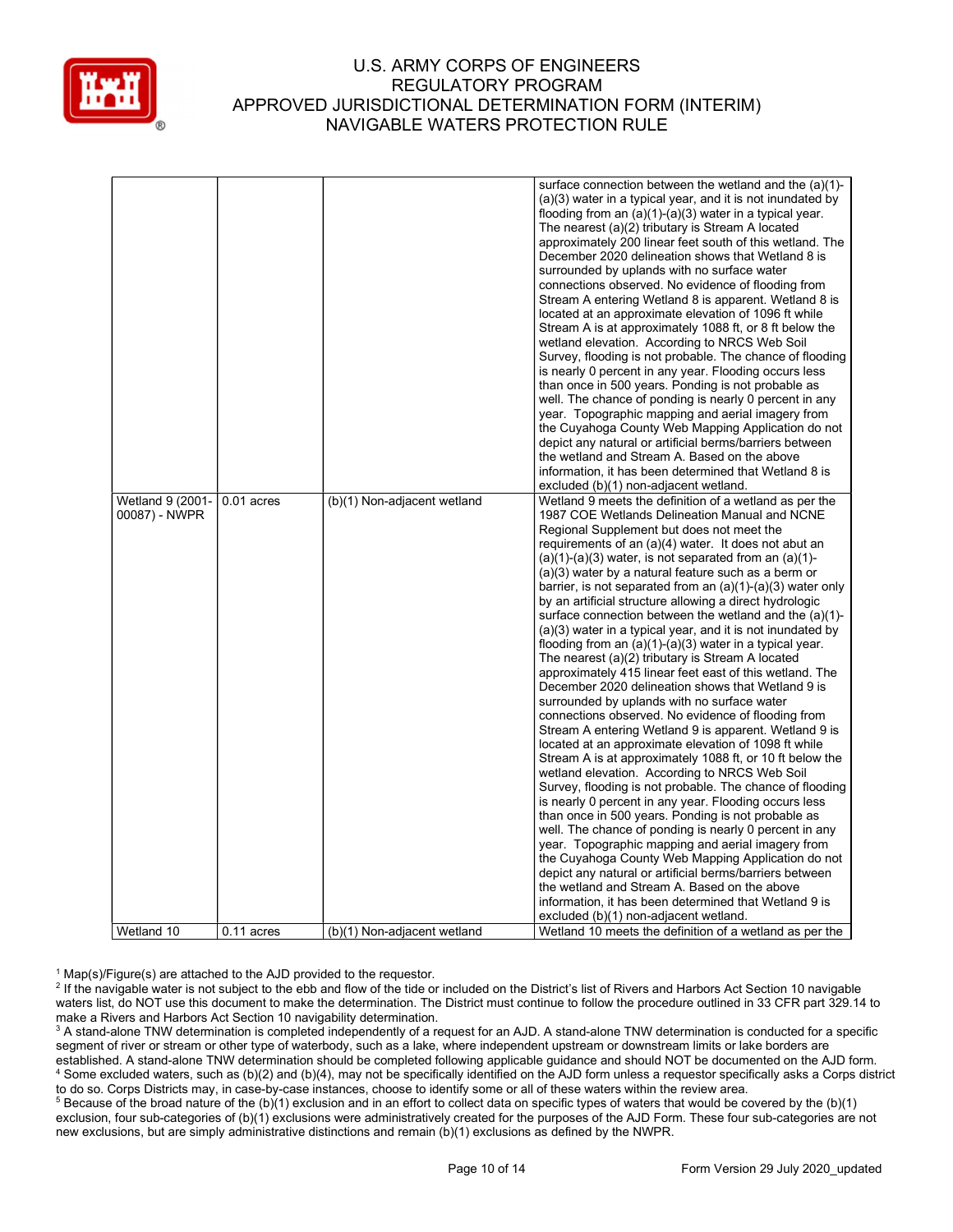

|                  |              |                             | surface connection between the wetland and the (a)(1)-                                                      |
|------------------|--------------|-----------------------------|-------------------------------------------------------------------------------------------------------------|
|                  |              |                             | $(a)(3)$ water in a typical year, and it is not inundated by                                                |
|                  |              |                             | flooding from an $(a)(1)-(a)(3)$ water in a typical year.                                                   |
|                  |              |                             | The nearest (a)(2) tributary is Stream A located                                                            |
|                  |              |                             | approximately 200 linear feet south of this wetland. The                                                    |
|                  |              |                             | December 2020 delineation shows that Wetland 8 is                                                           |
|                  |              |                             | surrounded by uplands with no surface water                                                                 |
|                  |              |                             | connections observed. No evidence of flooding from                                                          |
|                  |              |                             | Stream A entering Wetland 8 is apparent. Wetland 8 is                                                       |
|                  |              |                             | located at an approximate elevation of 1096 ft while                                                        |
|                  |              |                             | Stream A is at approximately 1088 ft, or 8 ft below the                                                     |
|                  |              |                             | wetland elevation. According to NRCS Web Soil                                                               |
|                  |              |                             | Survey, flooding is not probable. The chance of flooding                                                    |
|                  |              |                             | is nearly 0 percent in any year. Flooding occurs less                                                       |
|                  |              |                             | than once in 500 years. Ponding is not probable as                                                          |
|                  |              |                             | well. The chance of ponding is nearly 0 percent in any                                                      |
|                  |              |                             | year. Topographic mapping and aerial imagery from                                                           |
|                  |              |                             | the Cuyahoga County Web Mapping Application do not                                                          |
|                  |              |                             | depict any natural or artificial berms/barriers between                                                     |
|                  |              |                             | the wetland and Stream A. Based on the above                                                                |
|                  |              |                             | information, it has been determined that Wetland 8 is                                                       |
|                  |              |                             | excluded (b)(1) non-adjacent wetland.                                                                       |
| Wetland 9 (2001- | $0.01$ acres | (b)(1) Non-adjacent wetland | Wetland 9 meets the definition of a wetland as per the                                                      |
| 00087) - NWPR    |              |                             | 1987 COE Wetlands Delineation Manual and NCNE                                                               |
|                  |              |                             | Regional Supplement but does not meet the                                                                   |
|                  |              |                             | requirements of an (a)(4) water. It does not abut an                                                        |
|                  |              |                             | $(a)(1)-(a)(3)$ water, is not separated from an $(a)(1)-$                                                   |
|                  |              |                             | $(a)(3)$ water by a natural feature such as a berm or                                                       |
|                  |              |                             | barrier, is not separated from an $(a)(1)-(a)(3)$ water only                                                |
|                  |              |                             | by an artificial structure allowing a direct hydrologic                                                     |
|                  |              |                             | surface connection between the wetland and the (a)(1)-                                                      |
|                  |              |                             |                                                                                                             |
|                  |              |                             | (a)(3) water in a typical year, and it is not inundated by                                                  |
|                  |              |                             | flooding from an $(a)(1)-(a)(3)$ water in a typical year.                                                   |
|                  |              |                             | The nearest (a)(2) tributary is Stream A located<br>approximately 415 linear feet east of this wetland. The |
|                  |              |                             | December 2020 delineation shows that Wetland 9 is                                                           |
|                  |              |                             |                                                                                                             |
|                  |              |                             | surrounded by uplands with no surface water                                                                 |
|                  |              |                             | connections observed. No evidence of flooding from                                                          |
|                  |              |                             | Stream A entering Wetland 9 is apparent. Wetland 9 is                                                       |
|                  |              |                             | located at an approximate elevation of 1098 ft while                                                        |
|                  |              |                             | Stream A is at approximately 1088 ft, or 10 ft below the                                                    |
|                  |              |                             | wetland elevation. According to NRCS Web Soil                                                               |
|                  |              |                             | Survey, flooding is not probable. The chance of flooding                                                    |
|                  |              |                             | is nearly 0 percent in any year. Flooding occurs less                                                       |
|                  |              |                             | than once in 500 years. Ponding is not probable as                                                          |
|                  |              |                             | well. The chance of ponding is nearly 0 percent in any                                                      |
|                  |              |                             | year. Topographic mapping and aerial imagery from                                                           |
|                  |              |                             | the Cuyahoga County Web Mapping Application do not                                                          |
|                  |              |                             | depict any natural or artificial berms/barriers between                                                     |
|                  |              |                             | the wetland and Stream A. Based on the above                                                                |
|                  |              |                             | information, it has been determined that Wetland 9 is                                                       |
|                  |              |                             | excluded (b)(1) non-adjacent wetland.                                                                       |
| Wetland 10       | $0.11$ acres | (b)(1) Non-adjacent wetland | Wetland 10 meets the definition of a wetland as per the                                                     |

<sup>1</sup> Map(s)/Figure(s) are attached to the AJD provided to the requestor.

<sup>2</sup> If the navigable water is not subject to the ebb and flow of the tide or included on the District's list of Rivers and Harbors Act Section 10 navigable waters list, do NOT use this document to make the determination. The District must continue to follow the procedure outlined in 33 CFR part 329.14 to make a Rivers and Harbors Act Section 10 navigability determination.

 $^3$  A stand-alone TNW determination is completed independently of a request for an AJD. A stand-alone TNW determination is conducted for a specific segment of river or stream or other type of waterbody, such as a lake, where independent upstream or downstream limits or lake borders are established. A stand-alone TNW determination should be completed following applicable guidance and should NOT be documented on the AJD form. 4 Some excluded waters, such as (b)(2) and (b)(4), may not be specifically identified on the AJD form unless a requestor specifically asks a Corps district to do so. Corps Districts may, in case-by-case instances, choose to identify some or all of these waters within the review area.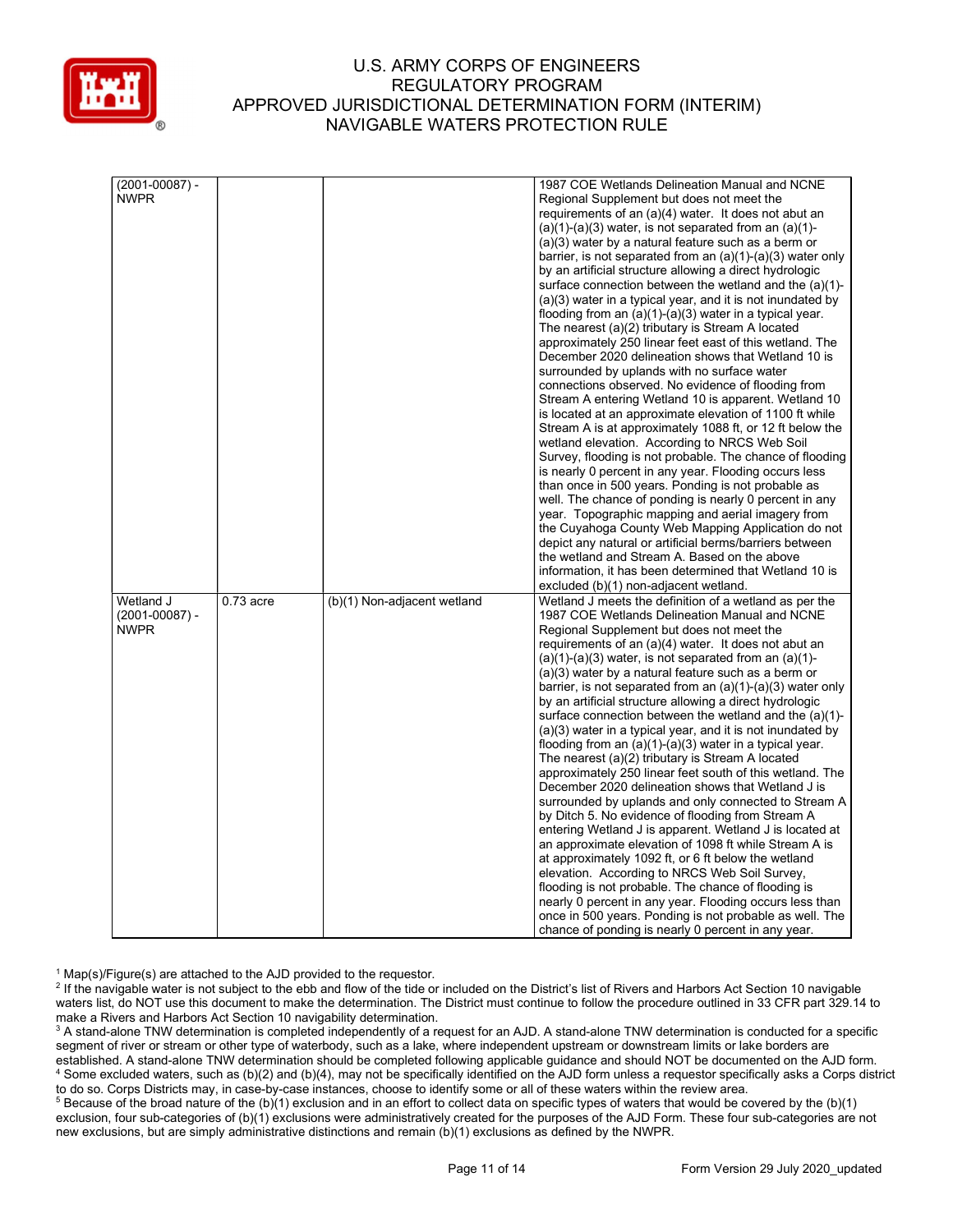

| $(2001 - 00087) -$ |             |                             | 1987 COE Wetlands Delineation Manual and NCNE                                                                 |
|--------------------|-------------|-----------------------------|---------------------------------------------------------------------------------------------------------------|
| <b>NWPR</b>        |             |                             | Regional Supplement but does not meet the                                                                     |
|                    |             |                             | requirements of an (a)(4) water. It does not abut an                                                          |
|                    |             |                             | $(a)(1)-(a)(3)$ water, is not separated from an $(a)(1)-$                                                     |
|                    |             |                             |                                                                                                               |
|                    |             |                             | $(a)(3)$ water by a natural feature such as a berm or                                                         |
|                    |             |                             | barrier, is not separated from an $(a)(1)-(a)(3)$ water only                                                  |
|                    |             |                             | by an artificial structure allowing a direct hydrologic                                                       |
|                    |             |                             | surface connection between the wetland and the (a)(1)-                                                        |
|                    |             |                             | $(a)(3)$ water in a typical year, and it is not inundated by                                                  |
|                    |             |                             | flooding from an $(a)(1)-(a)(3)$ water in a typical year.                                                     |
|                    |             |                             | The nearest (a)(2) tributary is Stream A located                                                              |
|                    |             |                             | approximately 250 linear feet east of this wetland. The                                                       |
|                    |             |                             | December 2020 delineation shows that Wetland 10 is                                                            |
|                    |             |                             | surrounded by uplands with no surface water                                                                   |
|                    |             |                             | connections observed. No evidence of flooding from                                                            |
|                    |             |                             | Stream A entering Wetland 10 is apparent. Wetland 10                                                          |
|                    |             |                             | is located at an approximate elevation of 1100 ft while                                                       |
|                    |             |                             |                                                                                                               |
|                    |             |                             | Stream A is at approximately 1088 ft, or 12 ft below the                                                      |
|                    |             |                             | wetland elevation. According to NRCS Web Soil                                                                 |
|                    |             |                             | Survey, flooding is not probable. The chance of flooding                                                      |
|                    |             |                             | is nearly 0 percent in any year. Flooding occurs less                                                         |
|                    |             |                             | than once in 500 years. Ponding is not probable as                                                            |
|                    |             |                             | well. The chance of ponding is nearly 0 percent in any                                                        |
|                    |             |                             | year. Topographic mapping and aerial imagery from                                                             |
|                    |             |                             | the Cuyahoga County Web Mapping Application do not                                                            |
|                    |             |                             | depict any natural or artificial berms/barriers between                                                       |
|                    |             |                             | the wetland and Stream A. Based on the above                                                                  |
|                    |             |                             | information, it has been determined that Wetland 10 is                                                        |
|                    |             |                             | excluded (b)(1) non-adjacent wetland.                                                                         |
| Wetland J          | $0.73$ acre | (b)(1) Non-adjacent wetland | Wetland J meets the definition of a wetland as per the                                                        |
| $(2001 - 00087) -$ |             |                             | 1987 COE Wetlands Delineation Manual and NCNE                                                                 |
| <b>NWPR</b>        |             |                             | Regional Supplement but does not meet the                                                                     |
|                    |             |                             | requirements of an (a)(4) water. It does not abut an                                                          |
|                    |             |                             |                                                                                                               |
|                    |             |                             | $(a)(1)-(a)(3)$ water, is not separated from an $(a)(1)-$                                                     |
|                    |             |                             | $(a)(3)$ water by a natural feature such as a berm or                                                         |
|                    |             |                             | barrier, is not separated from an $(a)(1)-(a)(3)$ water only                                                  |
|                    |             |                             | by an artificial structure allowing a direct hydrologic                                                       |
|                    |             |                             | surface connection between the wetland and the (a)(1)-                                                        |
|                    |             |                             | $(a)(3)$ water in a typical year, and it is not inundated by                                                  |
|                    |             |                             | flooding from an $(a)(1)-(a)(3)$ water in a typical year.                                                     |
|                    |             |                             | The nearest (a)(2) tributary is Stream A located                                                              |
|                    |             |                             | approximately 250 linear feet south of this wetland. The                                                      |
|                    |             |                             | December 2020 delineation shows that Wetland J is                                                             |
|                    |             |                             | surrounded by uplands and only connected to Stream A                                                          |
|                    |             |                             |                                                                                                               |
|                    |             |                             |                                                                                                               |
|                    |             |                             | by Ditch 5. No evidence of flooding from Stream A                                                             |
|                    |             |                             | entering Wetland J is apparent. Wetland J is located at                                                       |
|                    |             |                             | an approximate elevation of 1098 ft while Stream A is                                                         |
|                    |             |                             | at approximately 1092 ft, or 6 ft below the wetland                                                           |
|                    |             |                             | elevation. According to NRCS Web Soil Survey,                                                                 |
|                    |             |                             | flooding is not probable. The chance of flooding is                                                           |
|                    |             |                             | nearly 0 percent in any year. Flooding occurs less than                                                       |
|                    |             |                             | once in 500 years. Ponding is not probable as well. The<br>chance of ponding is nearly 0 percent in any year. |

<sup>1</sup> Map(s)/Figure(s) are attached to the AJD provided to the requestor.

<sup>2</sup> If the navigable water is not subject to the ebb and flow of the tide or included on the District's list of Rivers and Harbors Act Section 10 navigable waters list, do NOT use this document to make the determination. The District must continue to follow the procedure outlined in 33 CFR part 329.14 to make a Rivers and Harbors Act Section 10 navigability determination.

 $^3$  A stand-alone TNW determination is completed independently of a request for an AJD. A stand-alone TNW determination is conducted for a specific segment of river or stream or other type of waterbody, such as a lake, where independent upstream or downstream limits or lake borders are established. A stand-alone TNW determination should be completed following applicable guidance and should NOT be documented on the AJD form. 4 Some excluded waters, such as (b)(2) and (b)(4), may not be specifically identified on the AJD form unless a requestor specifically asks a Corps district to do so. Corps Districts may, in case-by-case instances, choose to identify some or all of these waters within the review area.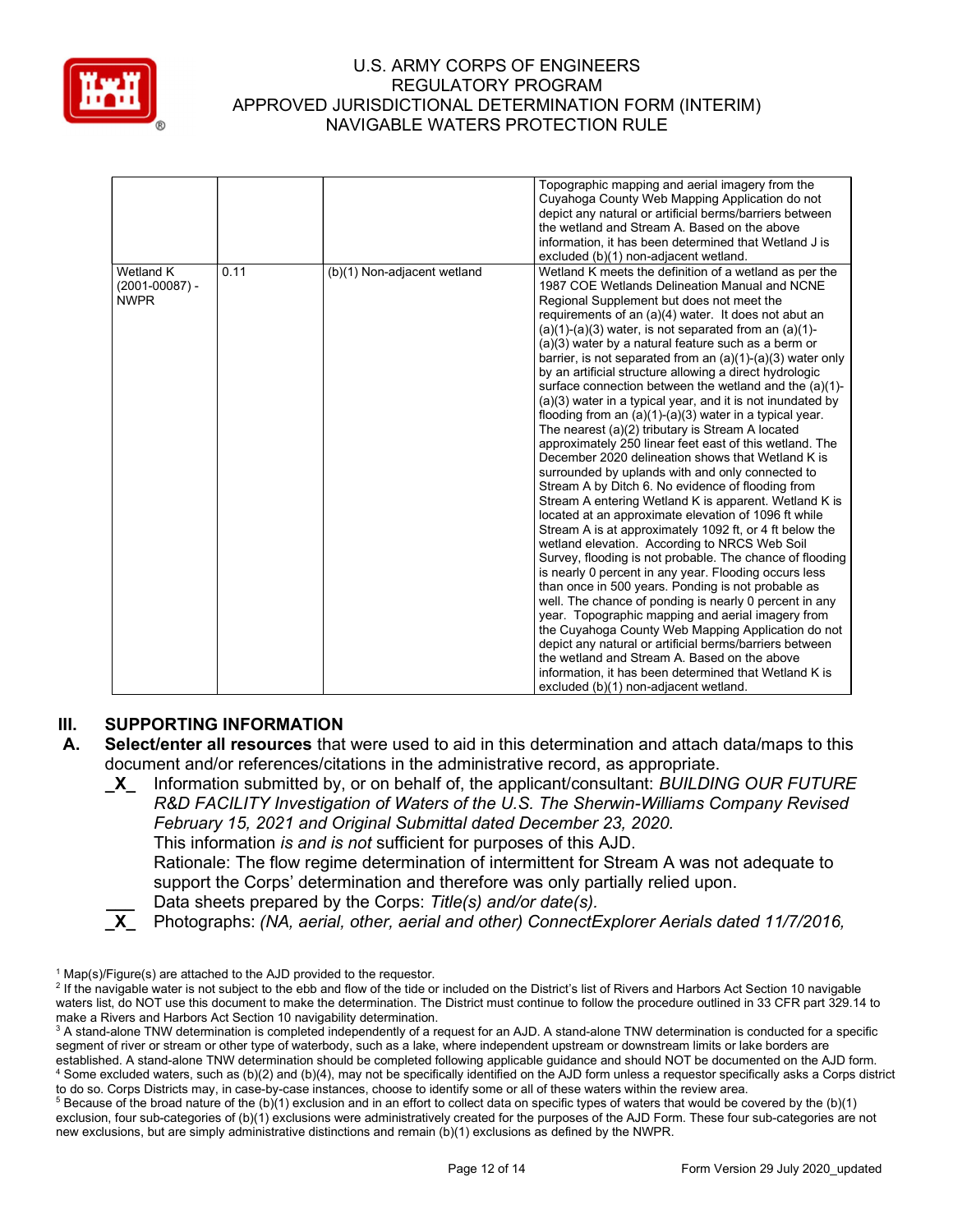

|                                                |      |                             | Topographic mapping and aerial imagery from the<br>Cuyahoga County Web Mapping Application do not<br>depict any natural or artificial berms/barriers between<br>the wetland and Stream A. Based on the above<br>information, it has been determined that Wetland J is<br>excluded (b)(1) non-adjacent wetland.                                                                                                                                                                                                                                                                                                                                                                                                                                                                                                                                                                                                                                                                                                                                                                                                                                                                                                                                                                                                                                                                                                                                                                                                                                                                                                                                                                                                              |
|------------------------------------------------|------|-----------------------------|-----------------------------------------------------------------------------------------------------------------------------------------------------------------------------------------------------------------------------------------------------------------------------------------------------------------------------------------------------------------------------------------------------------------------------------------------------------------------------------------------------------------------------------------------------------------------------------------------------------------------------------------------------------------------------------------------------------------------------------------------------------------------------------------------------------------------------------------------------------------------------------------------------------------------------------------------------------------------------------------------------------------------------------------------------------------------------------------------------------------------------------------------------------------------------------------------------------------------------------------------------------------------------------------------------------------------------------------------------------------------------------------------------------------------------------------------------------------------------------------------------------------------------------------------------------------------------------------------------------------------------------------------------------------------------------------------------------------------------|
| Wetland K<br>$(2001 - 00087) -$<br><b>NWPR</b> | 0.11 | (b)(1) Non-adjacent wetland | Wetland K meets the definition of a wetland as per the<br>1987 COE Wetlands Delineation Manual and NCNE<br>Regional Supplement but does not meet the<br>requirements of an (a)(4) water. It does not abut an<br>$(a)(1)-(a)(3)$ water, is not separated from an $(a)(1)-$<br>$(a)(3)$ water by a natural feature such as a berm or<br>barrier, is not separated from an $(a)(1)-(a)(3)$ water only<br>by an artificial structure allowing a direct hydrologic<br>surface connection between the wetland and the (a)(1)-<br>$(a)(3)$ water in a typical year, and it is not inundated by<br>flooding from an $(a)(1)-(a)(3)$ water in a typical year.<br>The nearest (a)(2) tributary is Stream A located<br>approximately 250 linear feet east of this wetland. The<br>December 2020 delineation shows that Wetland K is<br>surrounded by uplands with and only connected to<br>Stream A by Ditch 6. No evidence of flooding from<br>Stream A entering Wetland K is apparent. Wetland K is<br>located at an approximate elevation of 1096 ft while<br>Stream A is at approximately 1092 ft, or 4 ft below the<br>wetland elevation. According to NRCS Web Soil<br>Survey, flooding is not probable. The chance of flooding<br>is nearly 0 percent in any year. Flooding occurs less<br>than once in 500 years. Ponding is not probable as<br>well. The chance of ponding is nearly 0 percent in any<br>year. Topographic mapping and aerial imagery from<br>the Cuyahoga County Web Mapping Application do not<br>depict any natural or artificial berms/barriers between<br>the wetland and Stream A. Based on the above<br>information, it has been determined that Wetland K is<br>excluded (b)(1) non-adjacent wetland. |

# III. SUPPORTING INFORMATION

- Data sheets prepared by the Corps: Title(s) and/or date(s).
- \_X\_ Photographs: (NA, aerial, other, aerial and other) ConnectExplorer Aerials dated 11/7/2016,

A. Select/enter all resources that were used to aid in this determination and attach data/maps to this document and/or references/citations in the administrative record, as appropriate.

X Information submitted by, or on behalf of, the applicant/consultant: BUILDING OUR FUTURE R&D FACILITY Investigation of Waters of the U.S. The Sherwin-Williams Company Revised February 15, 2021 and Original Submittal dated December 23, 2020. This information is and is not sufficient for purposes of this AJD. Rationale: The flow regime determination of intermittent for Stream A was not adequate to

support the Corps' determination and therefore was only partially relied upon.

<sup>&</sup>lt;sup>1</sup> Map(s)/Figure(s) are attached to the AJD provided to the requestor.

<sup>&</sup>lt;sup>2</sup> If the navigable water is not subject to the ebb and flow of the tide or included on the District's list of Rivers and Harbors Act Section 10 navigable waters list, do NOT use this document to make the determination. The District must continue to follow the procedure outlined in 33 CFR part 329.14 to make a Rivers and Harbors Act Section 10 navigability determination.

 $^3$  A stand-alone TNW determination is completed independently of a request for an AJD. A stand-alone TNW determination is conducted for a specific segment of river or stream or other type of waterbody, such as a lake, where independent upstream or downstream limits or lake borders are established. A stand-alone TNW determination should be completed following applicable guidance and should NOT be documented on the AJD form. 4 Some excluded waters, such as (b)(2) and (b)(4), may not be specifically identified on the AJD form unless a requestor specifically asks a Corps district to do so. Corps Districts may, in case-by-case instances, choose to identify some or all of these waters within the review area.

 $5$  Because of the broad nature of the (b)(1) exclusion and in an effort to collect data on specific types of waters that would be covered by the (b)(1) exclusion, four sub-categories of (b)(1) exclusions were administratively created for the purposes of the AJD Form. These four sub-categories are not new exclusions, but are simply administrative distinctions and remain (b)(1) exclusions as defined by the NWPR.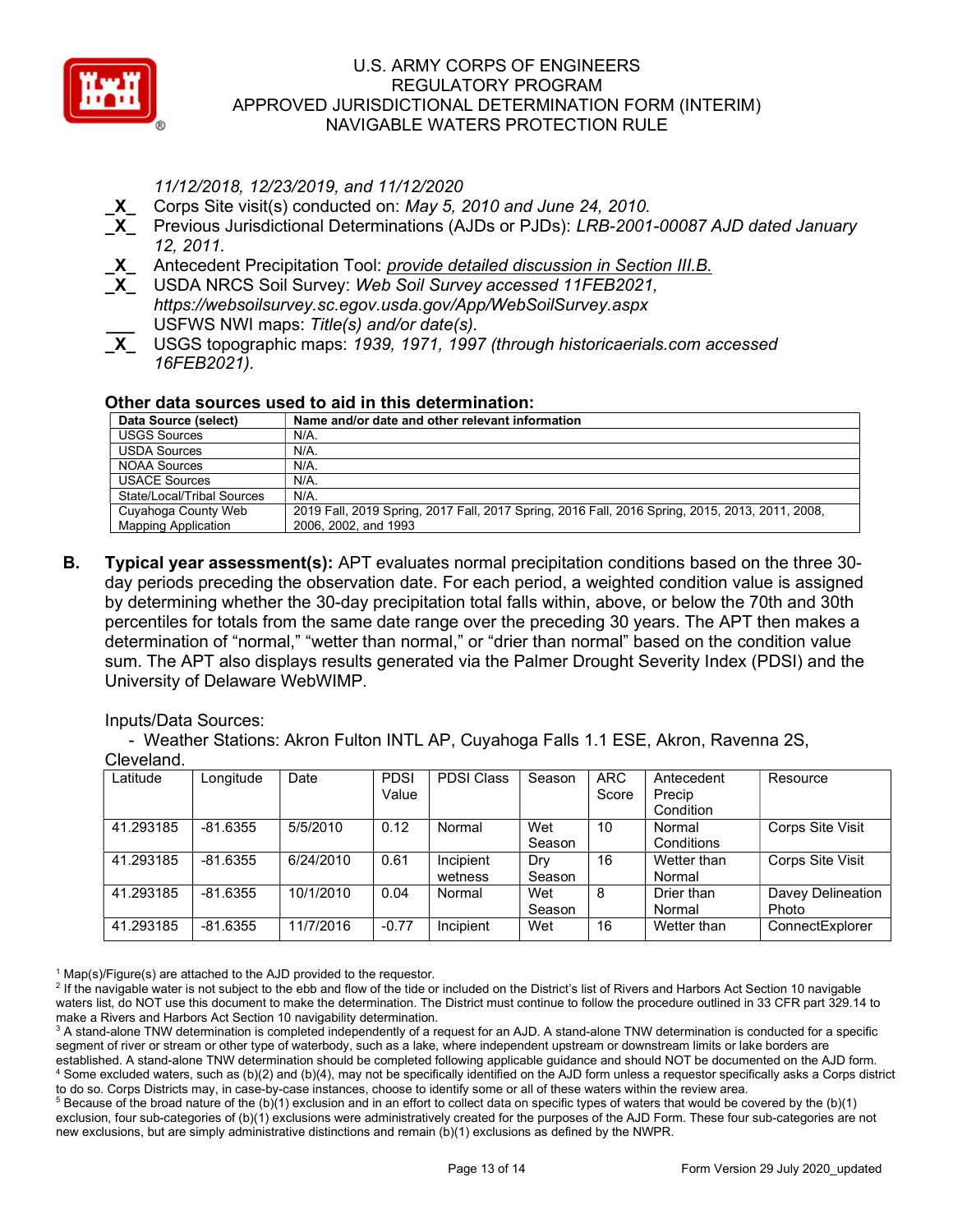

11/12/2018, 12/23/2019, and 11/12/2020

- X Corps Site visit(s) conducted on: May 5, 2010 and June 24, 2010.
- Previous Jurisdictional Determinations (AJDs or PJDs): LRB-2001-00087 AJD dated January 12, 2011.
- X\_ Antecedent Precipitation Tool: provide detailed discussion in Section III.B.
- X USDA NRCS Soil Survey: Web Soil Survey accessed 11FEB2021, https://websoilsurvey.sc.egov.usda.gov/App/WebSoilSurvey.aspx USFWS NWI maps: Title(s) and/or date(s).
- X USGS topographic maps: 1939, 1971, 1997 (through historicaerials.com accessed 16FEB2021).

## Other data sources used to aid in this determination:

| Data Source (select)                              | Name and/or date and other relevant information                                                                         |
|---------------------------------------------------|-------------------------------------------------------------------------------------------------------------------------|
| <b>USGS Sources</b>                               | $N/A$ .                                                                                                                 |
| <b>USDA Sources</b>                               | N/A.                                                                                                                    |
| <b>NOAA Sources</b>                               | N/A.                                                                                                                    |
| <b>USACE Sources</b>                              | N/A.                                                                                                                    |
| State/Local/Tribal Sources                        | $N/A$ .                                                                                                                 |
| Cuyahoga County Web<br><b>Mapping Application</b> | 2019 Fall, 2019 Spring, 2017 Fall, 2017 Spring, 2016 Fall, 2016 Spring, 2015, 2013, 2011, 2008,<br>2006, 2002, and 1993 |

B. Typical year assessment(s): APT evaluates normal precipitation conditions based on the three 30day periods preceding the observation date. For each period, a weighted condition value is assigned by determining whether the 30-day precipitation total falls within, above, or below the 70th and 30th percentiles for totals from the same date range over the preceding 30 years. The APT then makes a determination of "normal," "wetter than normal," or "drier than normal" based on the condition value sum. The APT also displays results generated via the Palmer Drought Severity Index (PDSI) and the University of Delaware WebWIMP.

Inputs/Data Sources:

 - Weather Stations: Akron Fulton INTL AP, Cuyahoga Falls 1.1 ESE, Akron, Ravenna 2S, Cleveland.

| Latitude  | Longitude  | Date      | <b>PDSI</b><br>Value | <b>PDSI Class</b>    | Season        | <b>ARC</b><br>Score | Antecedent<br>Precip  | Resource                   |
|-----------|------------|-----------|----------------------|----------------------|---------------|---------------------|-----------------------|----------------------------|
|           |            |           |                      |                      |               |                     | Condition             |                            |
| 41.293185 | $-81.6355$ | 5/5/2010  | 0.12                 | Normal               | Wet<br>Season | 10                  | Normal<br>Conditions  | Corps Site Visit           |
| 41.293185 | $-81.6355$ | 6/24/2010 | 0.61                 | Incipient<br>wetness | Dry<br>Season | 16                  | Wetter than<br>Normal | Corps Site Visit           |
| 41.293185 | $-81.6355$ | 10/1/2010 | 0.04                 | Normal               | Wet<br>Season | 8                   | Drier than<br>Normal  | Davey Delineation<br>Photo |
| 41.293185 | $-81.6355$ | 11/7/2016 | $-0.77$              | Incipient            | Wet           | 16                  | Wetter than           | ConnectExplorer            |

<sup>1</sup> Map(s)/Figure(s) are attached to the AJD provided to the requestor.

<sup>2</sup> If the navigable water is not subject to the ebb and flow of the tide or included on the District's list of Rivers and Harbors Act Section 10 navigable waters list, do NOT use this document to make the determination. The District must continue to follow the procedure outlined in 33 CFR part 329.14 to make a Rivers and Harbors Act Section 10 navigability determination.

 $^3$  A stand-alone TNW determination is completed independently of a request for an AJD. A stand-alone TNW determination is conducted for a specific segment of river or stream or other type of waterbody, such as a lake, where independent upstream or downstream limits or lake borders are established. A stand-alone TNW determination should be completed following applicable guidance and should NOT be documented on the AJD form. 4 Some excluded waters, such as (b)(2) and (b)(4), may not be specifically identified on the AJD form unless a requestor specifically asks a Corps district to do so. Corps Districts may, in case-by-case instances, choose to identify some or all of these waters within the review area.